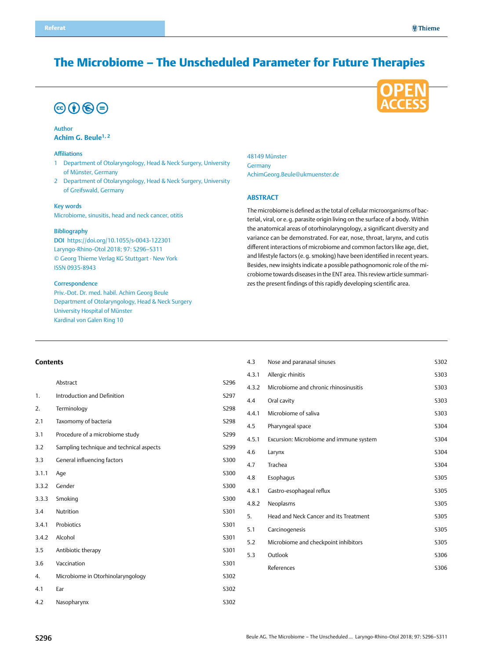## The Microbiome – The Unscheduled Parameter for Future Therapies

# $\circledcirc$  (i)  $\circledcirc$   $\circledcirc$

#### Author **Achim G. Beule1, 2**

#### Affiliations

- 1 Department of Otolaryngology, Head & Neck Surgery, University of Münster, Germany
- 2 Department of Otolaryngology, Head & Neck Surgery, University of Greifswald, Germany

#### Key words

Microbiome, sinusitis, head and neck cancer, otitis

#### Bibliography

DOI https://doi.org/10.1055/s-0043-122301 Laryngo-Rhino-Otol 2018; 97: S296–S311 © Georg Thieme Verlag KG Stuttgart · New York ISSN 0935-8943

#### **Correspondence**

Priv.-Dot. Dr. med. habil. Achim Georg Beule Department of Otolaryngology, Head & Neck Surgery University Hospital of Münster Kardinal von Galen Ring 10

48149 Münster Germany [AchimGeorg.Beule@ukmuenster.de](mailto:achimgeorg.beule@ukmuenster.de)

#### **Abstract**

The microbiome is defined as the total of cellular microorganisms of bacterial, viral, or e.g. parasite origin living on the surface of a body. Within the anatomical areas of otorhinolaryngology, a significant diversity and variance can be demonstrated. For ear, nose, throat, larynx, and cutis different interactions of microbiome and common factors like age, diet, and lifestyle factors (e.g. smoking) have been identified in recent years. Besides, new insights indicate a possible pathognomonic role of the microbiome towards diseases in the ENT area. This review article summarizes the present findings of this rapidly developing scientific area.

#### **Contents**

|       | Abstract                                 | S296        |
|-------|------------------------------------------|-------------|
| 1.    | Introduction and Definition              | S297        |
| 2.    | Terminology                              | S298        |
| 2.1   | Taxomomy of bacteria                     | S298        |
| 3.1   | Procedure of a microbiome study          | S299        |
| 3.2   | Sampling technique and technical aspects | S299        |
| 3.3   | General influencing factors              | <b>S300</b> |
| 3.1.1 | Aqe                                      | S300        |
| 3.3.2 | Gender                                   | <b>S300</b> |
| 3.3.3 | Smoking                                  | <b>S300</b> |
| 3.4   | Nutrition                                | S301        |
| 3.4.1 | Probiotics                               | S301        |
| 3.4.2 | Alcohol                                  | S301        |
| 3.5   | Antibiotic therapy                       | S301        |
| 3.6   | Vaccination                              | S301        |
| 4.    | Microbiome in Otorhinolaryngology        | S302        |
| 4.1   | Ear                                      | S302        |
| 4.2   | Nasopharynx                              | S302        |

| 4.3   | Nose and paranasal sinuses              | S302        |
|-------|-----------------------------------------|-------------|
| 4.3.1 | Allergic rhinitis                       | S303        |
| 4.3.2 | Microbiome and chronic rhinosinusitis   | S303        |
| 4.4   | Oral cavity                             | S303        |
| 4.4.1 | Microbiome of saliva                    | S303        |
| 4.5   | Pharyngeal space                        | S304        |
| 4.5.1 | Excursion: Microbiome and immune system | S304        |
| 4.6   | Larynx                                  | S304        |
| 4.7   | Trachea                                 | S304        |
| 4.8   | Esophagus                               | S305        |
| 4.8.1 | Gastro-esophageal reflux                | S305        |
| 4.8.2 | Neoplasms                               | S305        |
| 5.    | Head and Neck Cancer and its Treatment  | S305        |
| 5.1   | Carcinogenesis                          | S305        |
| 5.2   | Microbiome and checkpoint inhibitors    | S305        |
| 5.3   | Outlook                                 | <b>S306</b> |
|       | References                              | S306        |
|       |                                         |             |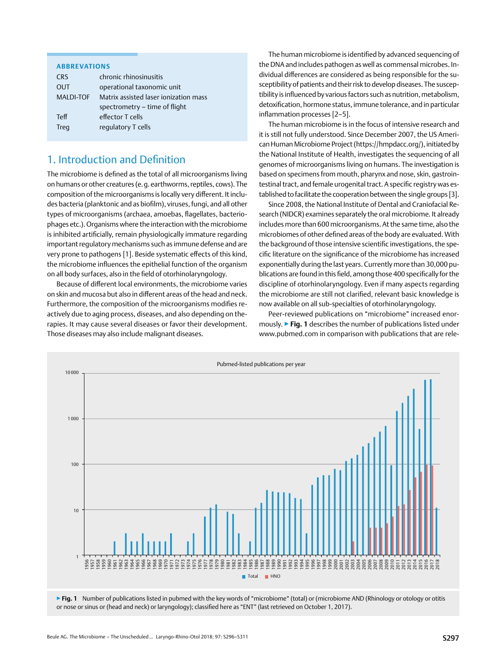#### <span id="page-1-0"></span>**Abbrevations**

| <b>CRS</b>  | chronic rhinosinusitis                |
|-------------|---------------------------------------|
| OUT         | operational taxonomic unit            |
| MALDI-TOF   | Matrix assisted laser ionization mass |
|             | spectrometry – time of flight         |
| <b>Teff</b> | effector T cells                      |
| Treq        | requlatory T cells                    |
|             |                                       |

## 1. Introduction and Definition

The microbiome is defined as the total of all microorganisms living on humans or other creatures (e.g. earthworms, reptiles, cows). The composition of the microorganisms is locally very different. It includes bacteria (planktonic and as biofilm), viruses, fungi, and all other types of microorganisms (archaea, amoebas, flagellates, bacteriophages etc.). Organisms where the interaction with the microbiome is inhibited artificially, remain physiologically immature regarding important regulatory mechanisms such as immune defense and are very prone to pathogens [1]. Beside systematic effects of this kind, the microbiome influences the epithelial function of the organism on all body surfaces, also in the field of otorhinolaryngology.

Because of different local environments, the microbiome varies on skin and mucosa but also in different areas of the head and neck. Furthermore, the composition of the microorganisms modifies reactively due to aging process, diseases, and also depending on therapies. It may cause several diseases or favor their development. Those diseases may also include malignant diseases.

The human microbiome is identified by advanced sequencing of the DNA and includes pathogen as well as commensal microbes. Individual differences are considered as being responsible for the susceptibility of patients and their risk to develop diseases. The susceptibility is influenced by various factors such as nutrition, metabolism, detoxification, hormone status, immune tolerance, and in particular inflammation processes [2–5].

The human microbiome is in the focus of intensive research and it is still not fully understood. Since December 2007, the US American Human Microbiome Project (https://hmpdacc.org/), initiated by the National Institute of Health, investigates the sequencing of all genomes of microorganisms living on humans. The investigation is based on specimens from mouth, pharynx and nose, skin, gastrointestinal tract, and female urogenital tract. A specific registry was established to facilitate the cooperation between the single groups [3].

Since 2008, the National Institute of Dental and Craniofacial Research (NIDCR) examines separately the oral microbiome. It already includes more than 600 microorganisms. At the same time, also the microbiomes of other defined areas of the body are evaluated. With the background of those intensive scientific investigations, the specific literature on the significance of the microbiome has increased exponentially during the last years. Currently more than 30,000 publications are found in this field, among those 400 specifically for the discipline of otorhinolaryngology. Even if many aspects regarding the microbiome are still not clarified, relevant basic knowledge is now available on all sub-specialties of otorhinolaryngology.

Peer-reviewed publications on "microbiome" increased enormously. ▶**Fig. 1** describes the number of publications listed under www.pubmed.com in comparison with publications that are rele-



▶ **Fig. 1** Number of publications listed in pubmed with the key words of "microbiome" (total) or (microbiome AND (Rhinology or otology or otitis or nose or sinus or (head and neck) or laryngology); classified here as "ENT" (last retrieved on October 1, 2017).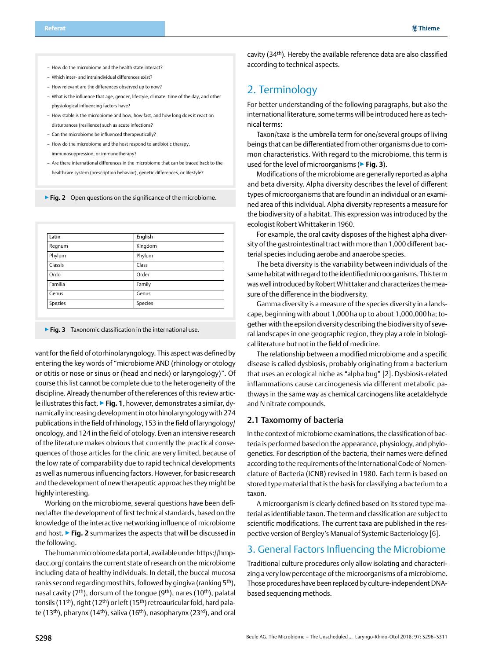- <span id="page-2-0"></span>– How do the microbiome and the health state interact?
- Which inter- and intraindividual differences exist?
- How relevant are the differences observed up to now?
- What is the influence that age, gender, lifestyle, climate, time of the day, and other physiological influencing factors have?
- How stable is the microbiome and how, how fast, and how long does it react on disturbances (resilience) such as acute infections?
- Can the microbiome be influenced therapeutically?
- How do the microbiome and the host respond to antibiotic therapy, immunosuppression, or immunotherapy?
- Are there international differences in the microbiome that can be traced back to the healthcare system (prescription behavior), genetic differences, or lifestyle?

▶**Fig. 2** Open questions on the significance of the microbiome.

| Latin   | English |
|---------|---------|
| Regnum  | Kingdom |
| Phylum  | Phylum  |
| Classis | Class   |
| Ordo    | Order   |
| Familia | Family  |
| Genus   | Genus   |
| Spezies | Species |

▶**Fig. 3** Taxonomic classification in the international use.

vant for the field of otorhinolaryngology. This aspect was defined by entering the key words of "microbiome AND (rhinology or otology or otitis or nose or sinus or (head and neck) or laryngology)". Of course this list cannot be complete due to the heterogeneity of the discipline. Already the number of the references of this review article illustrates this fact. ▶**Fig. 1**, however, demonstrates a similar, dynamically increasing development in otorhinolaryngology with 274 publications in the field of rhinology, 153 in the field of laryngology/ oncology, and 124 in the field of otology. Even an intensive research of the literature makes obvious that currently the practical consequences of those articles for the clinic are very limited, because of the low rate of comparability due to rapid technical developments as well as numerous influencing factors. However, for basic research and the development of new therapeutic approaches they might be highly interesting.

Working on the microbiome, several questions have been defined after the development of first technical standards, based on the knowledge of the interactive networking influence of microbiome and host. ▶**Fig. 2** summarizes the aspects that will be discussed in the following.

The human microbiome data portal, available under https://hmpdacc.org/ contains the current state of research on the microbiome including data of healthy individuals. In detail, the buccal mucosa ranks second regarding most hits, followed by gingiva (ranking 5<sup>th</sup>), nasal cavity ( $7<sup>th</sup>$ ), dorsum of the tongue ( $9<sup>th</sup>$ ), nares ( $10<sup>th</sup>$ ), palatal tonsils (11<sup>th</sup>), right (12<sup>th</sup>) or left (15<sup>th</sup>) retroauricular fold, hard palate (13<sup>th</sup>), pharynx (14<sup>th</sup>), saliva (16<sup>th</sup>), nasopharynx (23<sup>rd</sup>), and oral cavity (34th). Hereby the available reference data are also classified according to technical aspects.

## 2. Terminology

For better understanding of the following paragraphs, but also the international literature, some terms will be introduced here as technical terms:

Taxon/taxa is the umbrella term for one/several groups of living beings that can be differentiated from other organisms due to common characteristics. With regard to the microbiome, this term is used for the level of microorganisms (▶**Fig. 3**).

Modifications of the microbiome are generally reported as alpha and beta diversity. Alpha diversity describes the level of different types of microorganisms that are found in an individual or an examined area of this individual. Alpha diversity represents a measure for the biodiversity of a habitat. This expression was introduced by the ecologist Robert Whittaker in 1960.

For example, the oral cavity disposes of the highest alpha diversity of the gastrointestinal tract with more than 1,000 different bacterial species including aerobe and anaerobe species.

The beta diversity is the variability between individuals of the same habitat with regard to the identified microorganisms. This term was well introduced by Robert Whittaker and characterizes the measure of the difference in the biodiversity.

Gamma diversity is a measure of the species diversity in a landscape, beginning with about 1,000ha up to about 1,000,000ha; together with the epsilon diversity describing the biodiversity of several landscapes in one geographic region, they play a role in biological literature but not in the field of medicine.

The relationship between a modified microbiome and a specific disease is called dysbiosis, probably originating from a bacterium that uses an ecological niche as "alpha bug" [2]. Dysbiosis-related inflammations cause carcinogenesis via different metabolic pathways in the same way as chemical carcinogens like acetaldehyde and N nitrate compounds.

#### 2.1 Taxomomy of bacteria

In the context of microbiome examinations, the classification of bacteria is performed based on the appearance, physiology, and phylogenetics. For description of the bacteria, their names were defined according to the requirements of the International Code of Nomenclature of Bacteria (ICNB) revised in 1980. Each term is based on stored type material that is the basis for classifying a bacterium to a taxon.

A microorganism is clearly defined based on its stored type material as identifiable taxon. The term and classification are subject to scientific modifications. The current taxa are published in the respective version of Bergley's Manual of Systemic Bacteriology [6].

### 3. General Factors Influencing the Microbiome

Traditional culture procedures only allow isolating and characterizing a very low percentage of the microorganisms of a microbiome. Those procedures have been replaced by culture-independent DNAbased sequencing methods.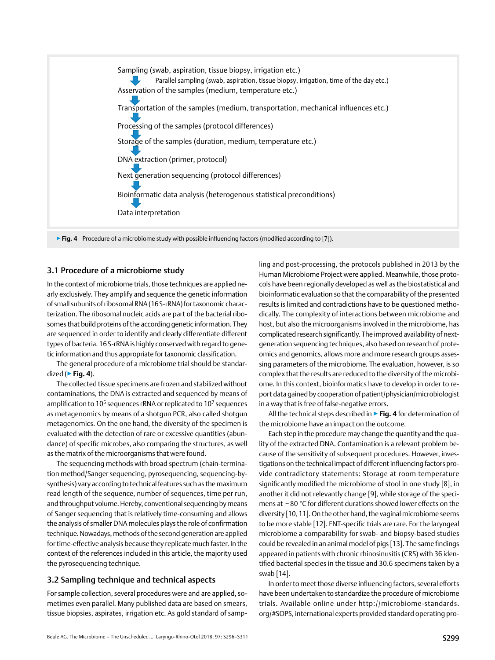<span id="page-3-0"></span>

#### 3.1 Procedure of a microbiome study

In the context of microbiome trials, those techniques are applied nearly exclusively. They amplify and sequence the genetic information of small subunits of ribosomal RNA (16S-rRNA) for taxonomic characterization. The ribosomal nucleic acids are part of the bacterial ribosomes that build proteins of the according genetic information. They are sequenced in order to identify and clearly differentiate different types of bacteria. 16S-rRNA is highly conserved with regard to genetic information and thus appropriate for taxonomic classification.

The general procedure of a microbiome trial should be standardized (▶**Fig. 4**).

The collected tissue specimens are frozen and stabilized without contaminations, the DNA is extracted and sequenced by means of amplification to 10<sup>5</sup> sequences rRNA or replicated to 10<sup>7</sup> sequences as metagenomics by means of a shotgun PCR, also called shotgun metagenomics. On the one hand, the diversity of the specimen is evaluated with the detection of rare or excessive quantities (abundance) of specific microbes, also comparing the structures, as well as the matrix of the microorganisms that were found.

The sequencing methods with broad spectrum (chain-termination method/Sanger sequencing, pyrosequencing, sequencing-bysynthesis) vary according to technical features such as the maximum read length of the sequence, number of sequences, time per run, and throughput volume. Hereby, conventional sequencing by means of Sanger sequencing that is relatively time-consuming and allows the analysis of smaller DNA molecules plays the role of confirmation technique. Nowadays, methods of the second generation are applied for time-effective analysis because they replicate much faster. In the context of the references included in this article, the majority used the pyrosequencing technique.

#### 3.2 Sampling technique and technical aspects

For sample collection, several procedures were and are applied, sometimes even parallel. Many published data are based on smears, tissue biopsies, aspirates, irrigation etc. As gold standard of sampling and post-processing, the protocols published in 2013 by the Human Microbiome Project were applied. Meanwhile, those protocols have been regionally developed as well as the biostatistical and bioinformatic evaluation so that the comparability of the presented results is limited and contradictions have to be questioned methodically. The complexity of interactions between microbiome and host, but also the microorganisms involved in the microbiome, has complicated research significantly. The improved availability of nextgeneration sequencing techniques, also based on research of proteomics and genomics, allows more and more research groups assessing parameters of the microbiome. The evaluation, however, is so complex that the results are reduced to the diversity of the microbiome. In this context, bioinformatics have to develop in order to report data gained by cooperation of patient/physician/microbiologist in a way that is free of false-negative errors.

All the technical steps described in ▶**Fig. 4** for determination of the microbiome have an impact on the outcome.

Each step in the procedure may change the quantity and the quality of the extracted DNA. Contamination is a relevant problem because of the sensitivity of subsequent procedures. However, investigations on the technical impact of different influencing factors provide contradictory statements: Storage at room temperature significantly modified the microbiome of stool in one study [8], in another it did not relevantly change [9], while storage of the specimens at −80  °C for different durations showed lower effects on the diversity [10,11]. On the other hand, the vaginal microbiome seems to be more stable [12]. ENT-specific trials are rare. For the laryngeal microbiome a comparability for swab- and biopsy-based studies could be revealed in an animal model of pigs [13]. The same findings appeared in patients with chronic rhinosinusitis (CRS) with 36 identified bacterial species in the tissue and 30.6 specimens taken by a swab [14].

In order to meet those diverse influencing factors, several efforts have been undertaken to standardize the procedure of microbiome trials. Available online under http://microbiome-standards. org/#SOPS, international experts provided standard operating pro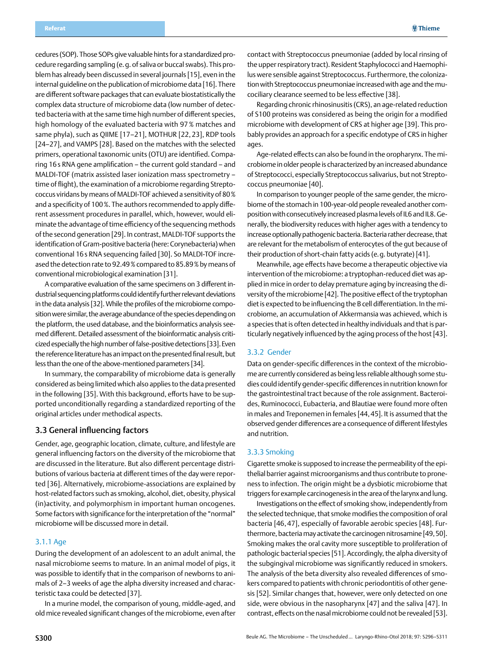<span id="page-4-0"></span>cedures (SOP). Those SOPs give valuable hints for a standardized procedure regarding sampling (e.g. of saliva or buccal swabs). This problem has already been discussed in several journals [15], even in the internal guideline on the publication of microbiome data [16]. There are different software packages that can evaluate biostatistically the complex data structure of microbiome data (low number of detected bacteria with at the same time high number of different species, high homology of the evaluated bacteria with 97% matches and same phyla), such as QIIME [17–21], MOTHUR [22,23], RDP tools [24–27], and VAMPS [28]. Based on the matches with the selected primers, operational taxonomic units (OTU) are identified. Comparing 16s RNA gene amplification – the current gold standard – and MALDI-TOF (matrix assisted laser ionization mass spectrometry – time of flight), the examination of a microbiome regarding Streptococcus viridans by means of MALDI-TOF achieved a sensitivity of 80% and a specificity of 100%. The authors recommended to apply different assessment procedures in parallel, which, however, would eliminate the advantage of time efficiency of the sequencing methods of the second generation [29]. In contrast, MALDI-TOF supports the identification of Gram-positive bacteria (here: Corynebacteria) when conventional 16s RNA sequencing failed [30]. So MALDI-TOF increased the detection rate to 92.49% compared to 85.89% by means of conventional microbiological examination [31].

A comparative evaluation of the same specimens on 3 different industrial sequencing platforms could identify further relevant deviations in the data analysis [32]. While the profiles of the microbiome composition were similar, the average abundance of the species depending on the platform, the used database, and the bioinformatics analysis seemed different. Detailed assessment of the bioinformatic analysis criticized especially the high number of false-positive detections [33]. Even the reference literature has an impact on the presented final result, but less than the one of the above-mentioned parameters [34].

In summary, the comparability of microbiome data is generally considered as being limited which also applies to the data presented in the following [35]. With this background, efforts have to be supported unconditionally regarding a standardized reporting of the original articles under methodical aspects.

#### 3.3 General influencing factors

Gender, age, geographic location, climate, culture, and lifestyle are general influencing factors on the diversity of the microbiome that are discussed in the literature. But also different percentage distributions of various bacteria at different times of the day were reported [36]. Alternatively, microbiome-associations are explained by host-related factors such as smoking, alcohol, diet, obesity, physical (in)activity, and polymorphism in important human oncogenes. Some factors with significance for the interpretation of the "normal" microbiome will be discussed more in detail.

#### 3.1.1 Age

During the development of an adolescent to an adult animal, the nasal microbiome seems to mature. In an animal model of pigs, it was possible to identify that in the comparison of newborns to animals of 2–3 weeks of age the alpha diversity increased and characteristic taxa could be detected [37].

In a murine model, the comparison of young, middle-aged, and old mice revealed significant changes of the microbiome, even after

contact with Streptococcus pneumoniae (added by local rinsing of the upper respiratory tract). Resident Staphylococci and Haemophilus were sensible against Streptococcus. Furthermore, the colonization with Streptococcus pneumoniae increased with age and the mucociliary clearance seemed to be less effective [38].

Regarding chronic rhinosinusitis (CRS), an age-related reduction of S100 proteins was considered as being the origin for a modified microbiome with development of CRS at higher age [39]. This probably provides an approach for a specific endotype of CRS in higher ages.

Age-related effects can also be found in the oropharynx. The microbiome in older people is characterized by an increased abundance of Streptococci, especially Streptococcus salivarius, but not Streptococcus pneumoniae [40].

In comparison to younger people of the same gender, the microbiome of the stomach in 100-year-old people revealed another composition with consecutively increased plasma levels of IL6 and IL8. Generally, the biodiversity reduces with higher ages with a tendency to increase optionally pathogenic bacteria. Bacteria rather decrease, that are relevant for the metabolism of enterocytes of the gut because of their production of short-chain fatty acids (e.g. butyrate) [41].

Meanwhile, age effects have become a therapeutic objective via intervention of the microbiome: a tryptophan-reduced diet was applied in mice in order to delay premature aging by increasing the diversity of the microbiome [42]. The positive effect of the tryptophan diet is expected to be influencing the B cell differentiation. In the microbiome, an accumulation of Akkermansia was achieved, which is a species that is often detected in healthy individuals and that is particularly negatively influenced by the aging process of the host [43].

#### 3.3.2 Gender

Data on gender-specific differences in the context of the microbiome are currently considered as being less reliable although some studies could identify gender-specific differences in nutrition known for the gastrointestinal tract because of the role assignment. Bacteroides, Ruminococci, Eubacteria, and Blautiae were found more often in males and Treponemen in females [44,45]. It is assumed that the observed gender differences are a consequence of different lifestyles and nutrition.

#### 3.3.3 Smoking

Cigarette smoke is supposed to increase the permeability of the epithelial barrier against microorganisms and thus contribute to proneness to infection. The origin might be a dysbiotic microbiome that triggers for example carcinogenesis in the area of the larynx and lung.

Investigations on the effect of smoking show, independently from the selected technique, that smoke modifies the composition of oral bacteria [46,47], especially of favorable aerobic species [48]. Furthermore, bacteria may activate the carcinogen nitrosamine [49,50]. Smoking makes the oral cavity more susceptible to proliferation of pathologic bacterial species [51]. Accordingly, the alpha diversity of the subgingival microbiome was significantly reduced in smokers. The analysis of the beta diversity also revealed differences of smokers compared to patients with chronic periodontitis of other genesis [52]. Similar changes that, however, were only detected on one side, were obvious in the nasopharynx [47] and the saliva [47]. In contrast, effects on the nasal microbiome could not be revealed [53].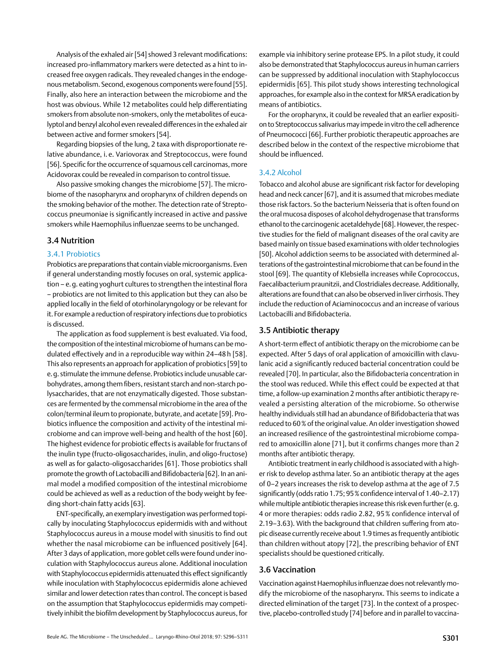<span id="page-5-0"></span>Analysis of the exhaled air [54] showed 3 relevant modifications: increased pro-inflammatory markers were detected as a hint to increased free oxygen radicals. They revealed changes in the endogenous metabolism. Second, exogenous components were found [55]. Finally, also here an interaction between the microbiome and the host was obvious. While 12 metabolites could help differentiating smokers from absolute non-smokers, only the metabolites of eucalyptol and benzyl alcohol even revealed differences in the exhaled air between active and former smokers [54].

Regarding biopsies of the lung, 2 taxa with disproportionate relative abundance, i. e. Variovorax and Streptococcus, were found [56]. Specific for the occurrence of squamous cell carcinomas, more Acidovorax could be revealed in comparison to control tissue.

Also passive smoking changes the microbiome [57]. The microbiome of the nasopharynx and oropharynx of children depends on the smoking behavior of the mother. The detection rate of Streptococcus pneumoniae is significantly increased in active and passive smokers while Haemophilus influenzae seems to be unchanged.

#### 3.4 Nutrition

#### 3.4.1 Probiotics

Probiotics are preparations that contain viable microorganisms. Even if general understanding mostly focuses on oral, systemic application - e.g. eating yoghurt cultures to strengthen the intestinal flora – probiotics are not limited to this application but they can also be applied locally in the field of otorhinolaryngology or be relevant for it. For example a reduction of respiratory infections due to probiotics is discussed.

The application as food supplement is best evaluated. Via food, the composition of the intestinal microbiome of humans can be modulated effectively and in a reproducible way within 24–48h [58]. This also represents an approach for application of probiotics [59] to e.g. stimulate the immune defense. Probiotics include unusable carbohydrates, among them fibers, resistant starch and non-starch polysaccharides, that are not enzymatically digested. Those substances are fermented by the commensal microbiome in the area of the colon/terminal ileum to propionate, butyrate, and acetate [59]. Probiotics influence the composition and activity of the intestinal microbiome and can improve well-being and health of the host [60]. The highest evidence for probiotic effects is available for fructans of the inulin type (fructo-oligosaccharides, inulin, and oligo-fructose) as well as for galacto-oligosaccharides [61]. Those probiotics shall promote the growth of Lactobacilli and Bifidobacteria [62]. In an animal model a modified composition of the intestinal microbiome could be achieved as well as a reduction of the body weight by feeding short-chain fatty acids [63].

ENT-specifically, an exemplary investigation was performed topically by inoculating Staphylococcus epidermidis with and without Staphylococcus aureus in a mouse model with sinusitis to find out whether the nasal microbiome can be influenced positively [64]. After 3 days of application, more goblet cells were found under inoculation with Staphylococcus aureus alone. Additional inoculation with Staphylococcus epidermidis attenuated this effect significantly while inoculation with Staphylococcus epidermidis alone achieved similar and lower detection rates than control. The concept is based on the assumption that Staphylococcus epidermidis may competitively inhibit the biofilm development by Staphylococcus aureus, for example via inhibitory serine protease EPS. In a pilot study, it could also be demonstrated that Staphylococcus aureus in human carriers can be suppressed by additional inoculation with Staphylococcus epidermidis [65]. This pilot study shows interesting technological approaches, for example also in the context for MRSA eradication by means of antibiotics.

For the oropharynx, it could be revealed that an earlier exposition to Streptococcus salivarius may impede in vitro the cell adherence of Pneumococci [66]. Further probiotic therapeutic approaches are described below in the context of the respective microbiome that should be influenced.

#### 3.4.2 Alcohol

Tobacco and alcohol abuse are significant risk factor for developing head and neck cancer [67], and it is assumed that microbes mediate those risk factors. So the bacterium Neisseria that is often found on the oral mucosa disposes of alcohol dehydrogenase that transforms ethanol to the carcinogenic acetaldehyde [68]. However, the respective studies for the field of malignant diseases of the oral cavity are based mainly on tissue based examinations with older technologies [50]. Alcohol addiction seems to be associated with determined alterations of the gastrointestinal microbiome that can be found in the stool [69]. The quantity of Klebsiella increases while Coprococcus, Faecalibacterium praunitzii, and Clostridiales decrease. Additionally, alterations are found that can also be observed in liver cirrhosis. They include the reduction of Aciaminococcus and an increase of various Lactobacilli and Bifidobacteria.

#### 3.5 Antibiotic therapy

A short-term effect of antibiotic therapy on the microbiome can be expected. After 5 days of oral application of amoxicillin with clavulanic acid a significantly reduced bacterial concentration could be revealed [70]. In particular, also the Bifidobacteria concentration in the stool was reduced. While this effect could be expected at that time, a follow-up examination 2 months after antibiotic therapy revealed a persisting alteration of the microbiome. So otherwise healthy individuals still had an abundance of Bifidobacteria that was reduced to 60% of the original value. An older investigation showed an increased resilience of the gastrointestinal microbiome compared to amoxicillin alone [71], but it confirms changes more than 2 months after antibiotic therapy.

Antibiotic treatment in early childhood is associated with a higher risk to develop asthma later. So an antibiotic therapy at the ages of 0–2 years increases the risk to develop asthma at the age of 7.5 significantly (odds ratio 1.75; 95% confidence interval of 1.40–2.17) while multiple antibiotic therapies increase this risk even further (e.g. 4 or more therapies: odds radio 2.82, 95% confidence interval of 2.19–3.63). With the background that children suffering from atopic disease currently receive about 1.9 times as frequently antibiotic than children without atopy [72], the prescribing behavior of ENT specialists should be questioned critically.

#### 3.6 Vaccination

Vaccination against Haemophilus influenzae does not relevantly modify the microbiome of the nasopharynx. This seems to indicate a directed elimination of the target [73]. In the context of a prospective, placebo-controlled study [74] before and in parallel to vaccina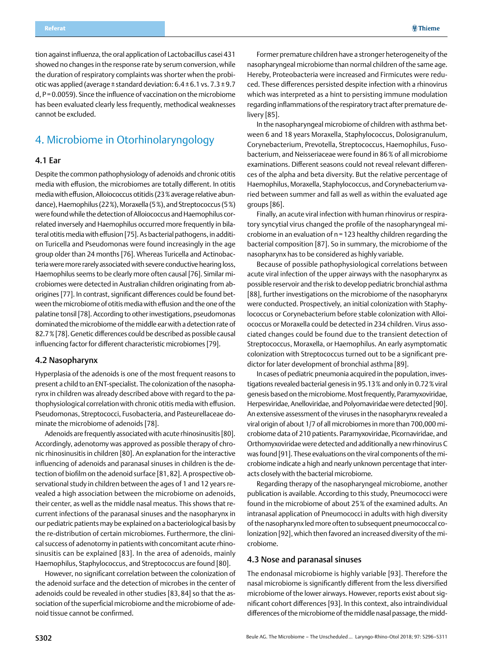<span id="page-6-0"></span>tion against influenza, the oral application of Lactobacillus casei 431 showed no changes in the response rate by serum conversion, while the duration of respiratory complaints was shorter when the probiotic was applied (average±standard deviation: 6.4±6.1 vs. 7.3±9.7 d, P=0.0059). Since the influence of vaccination on the microbiome has been evaluated clearly less frequently, methodical weaknesses cannot be excluded.

## 4. Microbiome in Otorhinolaryngology

#### 4.1 Ear

Despite the common pathophysiology of adenoids and chronic otitis media with effusion, the microbiomes are totally different. In otitis media with effusion, Alloiococcus otitidis (23% average relative abundance), Haemophilus (22%), Moraxella (5%), and Streptococcus (5%) were found while the detection of Alloiococcus and Haemophilus correlated inversely and Haemophilus occurred more frequently in bilateral otitis media with effusion [75]. As bacterial pathogens, in addition Turicella and Pseudomonas were found increasingly in the age group older than 24 months [76]. Whereas Turicella and Actinobacteria were more rarely associated with severe conductive hearing loss, Haemophilus seems to be clearly more often causal [76]. Similar microbiomes were detected in Australian children originating from aborigines [77]. In contrast, significant differences could be found between the microbiome of otitis media with effusion and the one of the palatine tonsil [78]. According to other investigations, pseudomonas dominated the microbiome of the middle ear with a detection rate of 82.7% [78]. Genetic differences could be described as possible causal influencing factor for different characteristic microbiomes [79].

#### 4.2 Nasopharynx

Hyperplasia of the adenoids is one of the most frequent reasons to present a child to an ENT-specialist. The colonization of the nasopharynx in children was already described above with regard to the pathophysiological correlation with chronic otitis media with effusion. Pseudomonas, Streptococci, Fusobacteria, and Pasteurellaceae dominate the microbiome of adenoids [78].

Adenoids are frequently associated with acute rhinosinusitis [80]. Accordingly, adenotomy was approved as possible therapy of chronic rhinosinusitis in children [80]. An explanation for the interactive influencing of adenoids and paranasal sinuses in children is the detection of biofilm on the adenoid surface [81,82]. A prospective observational study in children between the ages of 1 and 12 years revealed a high association between the microbiome on adenoids, their center, as well as the middle nasal meatus. This shows that recurrent infections of the paranasal sinuses and the nasopharynx in our pediatric patients may be explained on a bacteriological basis by the re-distribution of certain microbiomes. Furthermore, the clinical success of adenotomy in patients with concomitant acute rhinosinusitis can be explained [83]. In the area of adenoids, mainly Haemophilus, Staphylococcus, and Streptococcus are found [80].

However, no significant correlation between the colonization of the adenoid surface and the detection of microbes in the center of adenoids could be revealed in other studies [83,84] so that the association of the superficial microbiome and the microbiome of adenoid tissue cannot be confirmed.

Former premature children have a stronger heterogeneity of the nasopharyngeal microbiome than normal children of the same age. Hereby, Proteobacteria were increased and Firmicutes were reduced. These differences persisted despite infection with a rhinovirus which was interpreted as a hint to persisting immune modulation regarding inflammations of the respiratory tract after premature delivery [85].

In the nasopharyngeal microbiome of children with asthma between 6 and 18 years Moraxella, Staphylococcus, Dolosigranulum, Corynebacterium, Prevotella, Streptococcus, Haemophilus, Fusobacterium, and Neisseriaceae were found in 86% of all microbiome examinations. Different seasons could not reveal relevant differences of the alpha and beta diversity. But the relative percentage of Haemophilus, Moraxella, Staphylococcus, and Corynebacterium varied between summer and fall as well as within the evaluated age groups [86].

Finally, an acute viral infection with human rhinovirus or respiratory syncytial virus changed the profile of the nasopharyngeal microbiome in an evaluation of n=123 healthy children regarding the bacterial composition [87]. So in summary, the microbiome of the nasopharynx has to be considered as highly variable.

Because of possible pathophysiological correlations between acute viral infection of the upper airways with the nasopharynx as possible reservoir and the risk to develop pediatric bronchial asthma [88], further investigations on the microbiome of the nasopharynx were conducted. Prospectively, an initial colonization with Staphylococcus or Corynebacterium before stable colonization with Alloiococcus or Moraxella could be detected in 234 children. Virus associated changes could be found due to the transient detection of Streptococcus, Moraxella, or Haemophilus. An early asymptomatic colonization with Streptococcus turned out to be a significant predictor for later development of bronchial asthma [89].

In cases of pediatric pneumonia acquired in the population, investigations revealed bacterial genesis in 95.13% and only in 0.72% viral genesis based on the microbiome. Most frequently, Paramyxoviridae, Herpesviridae, Anelloviridae, and Polyomaviridae were detected [90]. An extensive assessment of the viruses in the nasopharynx revealed a viral origin of about 1/7 of all microbiomes in more than 700,000 microbiome data of 210 patients. Paramyxoviridae, Picornaviridae, and Orthomyxoviridae were detected and additionally a new rhinovirus C was found [91]. These evaluations on the viral components of the microbiome indicate a high and nearly unknown percentage that interacts closely with the bacterial microbiome.

Regarding therapy of the nasopharyngeal microbiome, another publication is available. According to this study, Pneumococci were found in the microbiome of about 25% of the examined adults. An intranasal application of Pneumococci in adults with high diversity of the nasopharynx led more often to subsequent pneumococcal colonization [92], which then favored an increased diversity of the microbiome.

#### 4.3 Nose and paranasal sinuses

The endonasal microbiome is highly variable [93]. Therefore the nasal microbiome is significantly different from the less diversified microbiome of the lower airways. However, reports exist about significant cohort differences [93]. In this context, also intraindividual differences of the microbiome of the middle nasal passage, the midd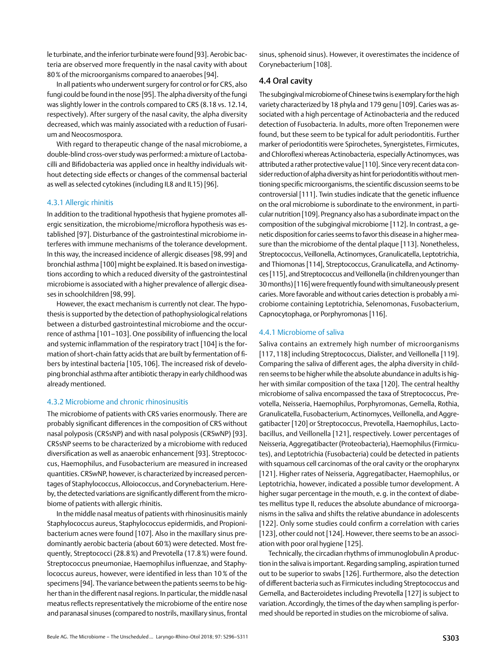<span id="page-7-0"></span>le turbinate, and the inferior turbinate were found [93]. Aerobic bacteria are observed more frequently in the nasal cavity with about 80% of the microorganisms compared to anaerobes [94].

In all patients who underwent surgery for control or for CRS, also fungi could be found in the nose [95]. The alpha diversity of the fungi was slightly lower in the controls compared to CRS (8.18 vs. 12.14, respectively). After surgery of the nasal cavity, the alpha diversity decreased, which was mainly associated with a reduction of Fusarium and Neocosmospora.

With regard to therapeutic change of the nasal microbiome, a double-blind cross-over study was performed: a mixture of Lactobacilli and Bifidobacteria was applied once in healthy individuals without detecting side effects or changes of the commensal bacterial as well as selected cytokines (including IL8 and IL15) [96].

#### 4.3.1 Allergic rhinitis

In addition to the traditional hypothesis that hygiene promotes allergic sensitization, the microbiome/microflora hypothesis was established [97]. Disturbance of the gastrointestinal microbiome interferes with immune mechanisms of the tolerance development. In this way, the increased incidence of allergic diseases [98,99] and bronchial asthma [100] might be explained. It is based on investigations according to which a reduced diversity of the gastrointestinal microbiome is associated with a higher prevalence of allergic diseases in schoolchildren [98,99].

However, the exact mechanism is currently not clear. The hypothesis is supported by the detection of pathophysiological relations between a disturbed gastrointestinal microbiome and the occurrence of asthma [101–103]. One possibility of influencing the local and systemic inflammation of the respiratory tract [104] is the formation of short-chain fatty acids that are built by fermentation of fibers by intestinal bacteria [105,106]. The increased risk of developing bronchial asthma after antibiotic therapy in early childhood was already mentioned.

#### 4.3.2 Microbiome and chronic rhinosinusitis

The microbiome of patients with CRS varies enormously. There are probably significant differences in the composition of CRS without nasal polyposis (CRSsNP) and with nasal polyposis (CRSwNP) [93]. CRSsNP seems to be characterized by a microbiome with reduced diversification as well as anaerobic enhancement [93]. Streptococcus, Haemophilus, and Fusobacterium are measured in increased quantities. CRSwNP, however, is characterized by increased percentages of Staphylococcus, Alloiococcus, and Corynebacterium. Hereby, the detected variations are significantly different from the microbiome of patients with allergic rhinitis.

In the middle nasal meatus of patients with rhinosinusitis mainly Staphylococcus aureus, Staphylococcus epidermidis, and Propionibacterium acnes were found [107]. Also in the maxillary sinus predominantly aerobic bacteria (about 60%) were detected. Most frequently, Streptococci (28.8%) and Prevotella (17.8%) were found. Streptococcus pneumoniae, Haemophilus influenzae, and Staphylococcus aureus, however, were identified in less than 10% of the specimens [94]. The variance between the patients seems to be higher than in the different nasal regions. In particular, the middle nasal meatus reflects representatively the microbiome of the entire nose and paranasal sinuses (compared to nostrils, maxillary sinus, frontal

sinus, sphenoid sinus). However, it overestimates the incidence of Corynebacterium [108].

#### 4.4 Oral cavity

The subgingival microbiome of Chinese twins is exemplary for the high variety characterized by 18 phyla and 179 genu [109]. Caries was associated with a high percentage of Actinobacteria and the reduced detection of Fusobacteria. In adults, more often Treponemen were found, but these seem to be typical for adult periodontitis. Further marker of periodontitis were Spirochetes, Synergistetes, Firmicutes, and Chloroflexi whereas Actinobacteria, especially Actinomyces, was attributed a rather protective value [110]. Since very recent data consider reduction of alpha diversity as hint for periodontitis without mentioning specific microorganisms, the scientific discussion seems to be controversial [111]. Twin studies indicate that the genetic influence on the oral microbiome is subordinate to the environment, in particular nutrition [109]. Pregnancy also has a subordinate impact on the composition of the subgingival microbiome [112]. In contrast, a genetic disposition for caries seems to favor this disease in a higher measure than the microbiome of the dental plaque [113]. Nonetheless, Streptococcus, Veillonella, Actinomyces, Granulicatella, Leptotrichia, and Thiomonas [114], Streptococcus, Granulicatella, and Actinomyces [115], and Streptococcus and Veillonella (in children younger than 30 months) [116] were frequently found with simultaneously present caries. More favorable and without caries detection is probably a microbiome containing Leptotrichia, Selenomonas, Fusobacterium, Capnocytophaga, or Porphyromonas [116].

#### 4.4.1 Microbiome of saliva

Saliva contains an extremely high number of microorganisms [117,118] including Streptococcus, Dialister, and Veillonella [119]. Comparing the saliva of different ages, the alpha diversity in children seems to be higher while the absolute abundance in adults is higher with similar composition of the taxa [120]. The central healthy microbiome of saliva encompassed the taxa of Streptococcus, Prevotella, Neisseria, Haemophilus, Porphyromonas, Gemella, Rothia, Granulicatella, Fusobacterium, Actinomyces, Veillonella, and Aggregatibacter [120] or Streptococcus, Prevotella, Haemophilus, Lactobacillus, and Veillonella [121], respectively. Lower percentages of Neisseria, Aggregatibacter (Proteobacteria), Haemophilus (Firmicutes), and Leptotrichia (Fusobacteria) could be detected in patients with squamous cell carcinomas of the oral cavity or the oropharynx [121]. Higher rates of Neisseria, Aggregatibacter, Haemophilus, or Leptotrichia, however, indicated a possible tumor development. A higher sugar percentage in the mouth, e.g. in the context of diabetes mellitus type II, reduces the absolute abundance of microorganisms in the saliva and shifts the relative abundance in adolescents [122]. Only some studies could confirm a correlation with caries [123], other could not [124]. However, there seems to be an association with poor oral hygiene [125].

Technically, the circadian rhythms of immunoglobulin A production in the saliva is important. Regarding sampling, aspiration turned out to be superior to swabs [126]. Furthermore, also the detection of different bacteria such as Firmicutes including Streptococcus and Gemella, and Bacteroidetes including Prevotella [127] is subject to variation. Accordingly, the times of the day when sampling is performed should be reported in studies on the microbiome of saliva.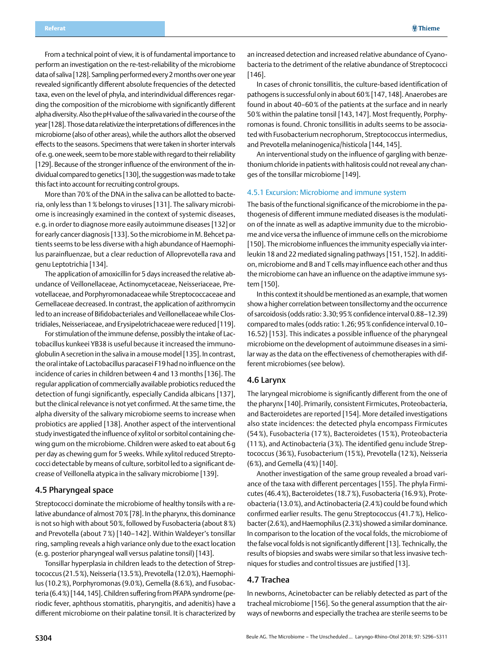<span id="page-8-0"></span>From a technical point of view, it is of fundamental importance to perform an investigation on the re-test-reliability of the microbiome data of saliva [128]. Sampling performed every 2 months over one year revealed significantly different absolute frequencies of the detected taxa, even on the level of phyla, and interindividual differences regarding the composition of the microbiome with significantly different alpha diversity. Also the pH value of the saliva varied in the course of the year [128]. Those data relativize the interpretations of differences in the microbiome (also of other areas), while the authors allot the observed effects to the seasons. Specimens that were taken in shorter intervals of e.g. one week, seem to be more stable with regard to their reliability [129]. Because of the stronger influence of the environment of the individual compared to genetics [130], the suggestion was made to take this fact into account for recruiting control groups.

More than 70% of the DNA in the saliva can be allotted to bacteria, only less than 1% belongs to viruses [131]. The salivary microbiome is increasingly examined in the context of systemic diseases, e.g. in order to diagnose more easily autoimmune diseases [132] or for early cancer diagnosis [133]. So the microbiome in M. Behcet patients seems to be less diverse with a high abundance of Haemophilus parainfluenzae, but a clear reduction of Alloprevotella rava and genu Leptotrichia [134].

The application of amoxicillin for 5 days increased the relative abundance of Veillonellaceae, Actinomycetaceae, Neisseriaceae, Prevotellaceae, and Porphyromonadaceae while Streptococcaceae and Gemellaceae decreased. In contrast, the application of azithromycin led to an increase of Bifidobacteriales and Veillonellaceae while Clostridiales, Neisseriaceae, and Erysipelotrichaceae were reduced [119].

For stimulation of the immune defense, possibly the intake of Lactobacillus kunkeei YB38 is useful because it increased the immunoglobulin A secretion in the saliva in a mouse model [135]. In contrast, the oral intake of Lactobacillus paracasei F19 had no influence on the incidence of caries in children between 4 and 13 months [136]. The regular application of commercially available probiotics reduced the detection of fungi significantly, especially Candida albicans [137], but the clinical relevance is not yet confirmed. At the same time, the alpha diversity of the salivary microbiome seems to increase when probiotics are applied [138]. Another aspect of the interventional study investigated the influence of xylitol or sorbitol containing chewing gum on the microbiome. Children were asked to eat about 6g per day as chewing gum for 5 weeks. While xylitol reduced Streptococci detectable by means of culture, sorbitol led to a significant decrease of Veillonella atypica in the salivary microbiome [139].

#### 4.5 Pharyngeal space

Streptococci dominate the microbiome of healthy tonsils with a relative abundance of almost 70% [78]. In the pharynx, this dominance is not so high with about 50%, followed by Fusobacteria (about 8%) and Prevotella (about 7%) [140–142]. Within Waldeyer's tonsillar ring, sampling reveals a high variance only due to the exact location (e.g. posterior pharyngeal wall versus palatine tonsil) [143].

Tonsillar hyperplasia in children leads to the detection of Streptococcus (21.5%), Neisseria (13.5%), Prevotella (12.0%), Haemophilus (10.2%), Porphyromonas (9.0%), Gemella (8.6%), and Fusobacteria (6.4%) [144,145]. Children suffering from PFAPA syndrome (periodic fever, aphthous stomatitis, pharyngitis, and adenitis) have a different microbiome on their palatine tonsil. It is characterized by

an increased detection and increased relative abundance of Cyanobacteria to the detriment of the relative abundance of Streptococci [146].

In cases of chronic tonsillitis, the culture-based identification of pathogens is successful only in about 60% [147,148]. Anaerobes are found in about 40–60% of the patients at the surface and in nearly 50% within the palatine tonsil [143,147]. Most frequently, Porphyromonas is found. Chronic tonsillitis in adults seems to be associated with Fusobacterium necrophorum, Streptococcus intermedius, and Prevotella melaninogenica/histicola [144,145].

An interventional study on the influence of gargling with benzethonium chloride in patients with halitosis could not reveal any changes of the tonsillar microbiome [149].

#### 4.5.1 Excursion: Microbiome and immune system

The basis of the functional significance of the microbiome in the pathogenesis of different immune mediated diseases is the modulation of the innate as well as adaptive immunity due to the microbiome and vice versa the influence of immune cells on the microbiome [150]. The microbiome influences the immunity especially via interleukin 18 and 22 mediated signaling pathways [151,152]. In addition, microbiome and B and T cells may influence each other and thus the microbiome can have an influence on the adaptive immune system [150].

In this context it should be mentioned as an example, that women show a higher correlation between tonsillectomy and the occurrence of sarcoidosis (odds ratio: 3.30; 95% confidence interval 0.88–12.39) compared to males (odds ratio: 1.26; 95% confidence interval 0.10– 16.52) [153]. This indicates a possible influence of the pharyngeal microbiome on the development of autoimmune diseases in a similar way as the data on the effectiveness of chemotherapies with different microbiomes (see below).

#### 4.6 Larynx

The laryngeal microbiome is significantly different from the one of the pharynx [140]. Primarily, consistent Firmicutes, Proteobacteria, and Bacteroidetes are reported [154]. More detailed investigations also state incidences: the detected phyla encompass Firmicutes (54%), Fusobacteria (17%), Bacteroidetes (15%), Proteobacteria (11%), and Actinobacteria (3%). The identified genu include Streptococcus (36%), Fusobacterium (15%), Prevotella (12%), Neisseria (6%), and Gemella (4%) [140].

Another investigation of the same group revealed a broad variance of the taxa with different percentages [155]. The phyla Firmicutes (46.4%), Bacteroidetes (18.7%), Fusobacteria (16.9%), Proteobacteria (13.0%), and Actinobacteria (2.4%) could be found which confirmed earlier results. The genu Streptococcus (41.7%), Helicobacter (2.6%), and Haemophilus (2.3%) showed a similar dominance. In comparison to the location of the vocal folds, the microbiome of the false vocal folds is not significantly different [13]. Technically, the results of biopsies and swabs were similar so that less invasive techniques for studies and control tissues are justified [13].

#### 4.7 Trachea

In newborns, Acinetobacter can be reliably detected as part of the tracheal microbiome [156]. So the general assumption that the airways of newborns and especially the trachea are sterile seems to be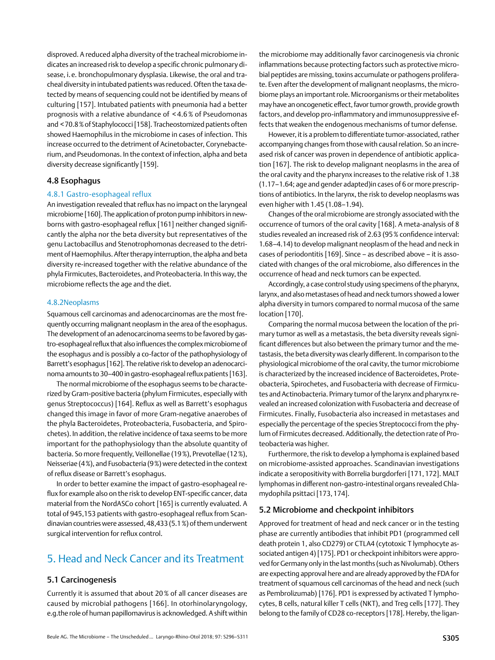<span id="page-9-0"></span>disproved. A reduced alpha diversity of the tracheal microbiome indicates an increased risk to develop a specific chronic pulmonary disease, i.e. bronchopulmonary dysplasia. Likewise, the oral and tracheal diversity in intubated patients was reduced. Often the taxa detected by means of sequencing could not be identified by means of culturing [157]. Intubated patients with pneumonia had a better prognosis with a relative abundance of < 4.6 % of Pseudomonas and <70.8% of Staphylococci [158]. Tracheostomized patients often showed Haemophilus in the microbiome in cases of infection. This increase occurred to the detriment of Acinetobacter, Corynebacterium, and Pseudomonas. In the context of infection, alpha and beta diversity decrease significantly [159].

#### 4.8 Esophagus

#### 4.8.1 Gastro-esophageal reflux

An investigation revealed that reflux has no impact on the laryngeal microbiome [160]. The application of proton pump inhibitors in newborns with gastro-esophageal reflux [161] neither changed significantly the alpha nor the beta diversity but representatives of the genu Lactobacillus and Stenotrophomonas decreased to the detriment of Haemophilus. After therapy interruption, the alpha and beta diversity re-increased together with the relative abundance of the phyla Firmicutes, Bacteroidetes, and Proteobacteria. In this way, the microbiome reflects the age and the diet.

#### 4.8.2Neoplasms

Squamous cell carcinomas and adenocarcinomas are the most frequently occurring malignant neoplasm in the area of the esophagus. The development of an adenocarcinoma seems to be favored by gastro-esophageal reflux that also influences the complex microbiome of the esophagus and is possibly a co-factor of the pathophysiology of Barrett's esophagus [162]. The relative risk to develop an adenocarcinoma amounts to 30–400 in gastro-esophageal reflux patients [163].

The normal microbiome of the esophagus seems to be characterized by Gram-positive bacteria (phylum Firmicutes, especially with genus Streptococcus) [164]. Reflux as well as Barrett's esophagus changed this image in favor of more Gram-negative anaerobes of the phyla Bacteroidetes, Proteobacteria, Fusobacteria, and Spirochetes). In addition, the relative incidence of taxa seems to be more important for the pathophysiology than the absolute quantity of bacteria. So more frequently, Veillonellae (19%), Prevotellae (12%), Neisseriae (4%), and Fusobacteria (9%) were detected in the context of reflux disease or Barrett's esophagus.

In order to better examine the impact of gastro-esophageal reflux for example also on the risk to develop ENT-specific cancer, data material from the NordASCo cohort [165] is currently evaluated. A total of 945,153 patients with gastro-esophageal reflux from Scandinavian countries were assessed, 48,433 (5.1%) of them underwent surgical intervention for reflux control.

## 5. Head and Neck Cancer and its Treatment

#### 5.1 Carcinogenesis

Currently it is assumed that about 20% of all cancer diseases are caused by microbial pathogens [166]. In otorhinolaryngology, e.g.the role of human papillomavirus is acknowledged. A shift within the microbiome may additionally favor carcinogenesis via chronic inflammations because protecting factors such as protective microbial peptides are missing, toxins accumulate or pathogens proliferate. Even after the development of malignant neoplasms, the microbiome plays an important role. Microorganisms or their metabolites may have an oncogenetic effect, favor tumor growth, provide growth factors, and develop pro-inflammatory and immunosuppressive effects that weaken the endogenous mechanisms of tumor defense.

However, it is a problem to differentiate tumor-associated, rather accompanying changes from those with causal relation. So an increased risk of cancer was proven in dependence of antibiotic application [167]. The risk to develop malignant neoplasms in the area of the oral cavity and the pharynx increases to the relative risk of 1.38 (1.17–1.64; age and gender adapted)in cases of 6 or more prescriptions of antibiotics. In the larynx, the risk to develop neoplasms was even higher with 1.45 (1.08–1.94).

Changes of the oral microbiome are strongly associated with the occurrence of tumors of the oral cavity [168]. A meta-analysis of 8 studies revealed an increased risk of 2.63 (95% confidence interval: 1.68–4.14) to develop malignant neoplasm of the head and neck in cases of periodontitis [169]. Since – as described above – it is associated with changes of the oral microbiome, also differences in the occurrence of head and neck tumors can be expected.

Accordingly, a case control study using specimens of the pharynx, larynx, and also metastases of head and neck tumors showed a lower alpha diversity in tumors compared to normal mucosa of the same location [170].

Comparing the normal mucosa between the location of the primary tumor as well as a metastasis, the beta diversity reveals significant differences but also between the primary tumor and the metastasis, the beta diversity was clearly different. In comparison to the physiological microbiome of the oral cavity, the tumor microbiome is characterized by the increased incidence of Bacteroidetes, Proteobacteria, Spirochetes, and Fusobacteria with decrease of Firmicutes and Actinobacteria. Primary tumor of the larynx and pharynx revealed an increased colonization with Fusobacteria and decrease of Firmicutes. Finally, Fusobacteria also increased in metastases and especially the percentage of the species Streptococci from the phylum of Firmicutes decreased. Additionally, the detection rate of Proteobacteria was higher.

Furthermore, the risk to develop a lymphoma is explained based on microbiome-assisted approaches. Scandinavian investigations indicate a seropositivity with Borrelia burgdorferi [171,172]. MALT lymphomas in different non-gastro-intestinal organs revealed Chlamydophila psittaci [173,174].

#### 5.2 Microbiome and checkpoint inhibitors

Approved for treatment of head and neck cancer or in the testing phase are currently antibodies that inhibit PD1 (programmed cell death protein 1, also CD279) or CTLA4 (cytotoxic T lymphocyte associated antigen 4) [175]. PD1 or checkpoint inhibitors were approved for Germany only in the last months (such as Nivolumab). Others are expecting approval here and are already approved by the FDA for treatment of squamous cell carcinomas of the head and neck (such as Pembrolizumab) [176]. PD1 is expressed by activated T lymphocytes, B cells, natural killer T cells (NKT), and Treg cells [177]. They belong to the family of CD28 co-receptors [178]. Hereby, the ligan-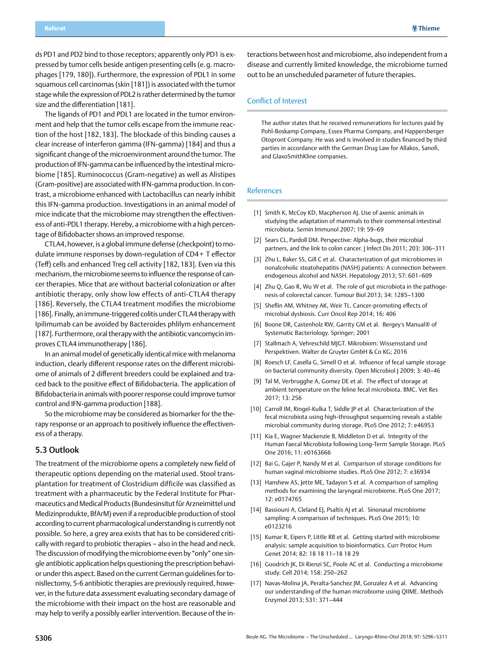<span id="page-10-0"></span>ds PD1 and PD2 bind to those receptors; apparently only PD1 is expressed by tumor cells beside antigen presenting cells (e.g. macrophages [179, 180]). Furthermore, the expression of PDL1 in some squamous cell carcinomas (skin [181]) is associated with the tumor stage while the expression of PDL2 is rather determined by the tumor size and the differentiation [181].

The ligands of PD1 and PDL1 are located in the tumor environment and help that the tumor cells escape from the immune reaction of the host [182, 183]. The blockade of this binding causes a clear increase of interferon gamma (IFN-gamma) [184] and thus a significant change of the microenvironment around the tumor. The production of IFN-gamma can be influenced by the intestinal microbiome [185]. Ruminococcus (Gram-negative) as well as Alistipes (Gram-positive) are associated with IFN-gamma production. In contrast, a microbiome enhanced with Lactobacillus can nearly inhibit this IFN-gamma production. Investigations in an animal model of mice indicate that the microbiome may strengthen the effectiveness of anti-PDL1 therapy. Hereby, a microbiome with a high percentage of Bifidobacter shows an improved response.

CTLA4, however, is a global immune defense (checkpoint) to modulate immune responses by down-regulation of CD4+ T effector (Teff) cells and enhanced Treg cell activity [182,183]. Even via this mechanism, the microbiome seems to influence the response of cancer therapies. Mice that are without bacterial colonization or after antibiotic therapy, only show low effects of anti-CTLA4 therapy [186]. Reversely, the CTLA4 treatment modifies the microbiome [186]. Finally, an immune-triggered colitis under CTLA4 therapy with Ipilimumab can be avoided by Bacteroides phlilym enhancement [187]. Furthermore, oral therapy with the antibiotic vancomycin improves CTLA4 immunotherapy [186].

In an animal model of genetically identical mice with melanoma induction, clearly different response rates on the different microbiome of animals of 2 different breeders could be explained and traced back to the positive effect of Bifidobacteria. The application of Bifidobacteria in animals with poorer response could improve tumor control and IFN-gamma production [188].

So the microbiome may be considered as biomarker for the therapy response or an approach to positively influence the effectiveness of a therapy.

#### 5.3 Outlook

The treatment of the microbiome opens a completely new field of therapeutic options depending on the material used. Stool transplantation for treatment of Clostridium difficile was classified as treatment with a pharmaceutic by the Federal Institute for Pharmaceutics and Medical Products (Bundesinsitut für Arzneimittel und Medizinprodukte, BfArM) even if a reproducible production of stool according to current pharmacological understanding is currently not possible. So here, a grey area exists that has to be considered critically with regard to probiotic therapies – also in the head and neck. The discussion of modifying the microbiome even by "only" one single antibiotic application helps questioning the prescription behavior under this aspect. Based on the current German guidelines for tonisllectomy, 5-6 antibiotic therapies are previously required, however, in the future data assessment evaluating secondary damage of the microbiome with their impact on the host are reasonable and may help to verify a possibly earlier intervention. Because of the interactions between host and microbiome, also independent from a disease and currently limited knowledge, the microbiome turned out to be an unscheduled parameter of future therapies.

#### Conflict of Interest

The author states that he received remunerations for lectures paid by Pohl-Boskamp Company, Essex Pharma Company, and Happersberger Otopront Company. He was and is involved in studies financed by third parties in accordance with the German Drug Law for Allakos, Sanofi, and GlaxoSmithKline companies.

#### References

- [1] Smith K, McCoy KD, Macpherson AJ. Use of axenic animals in studying the adaptation of mammals to their commensal intestinal microbiota. Semin Immunol 2007; 19: 59–69
- [2] Sears CL, Pardoll DM. Perspective: Alpha-bugs, their microbial partners, and the link to colon cancer. J Infect Dis 2011; 203: 306–311
- [3] Zhu L, Baker SS, Gill C et al. Characterization of gut microbiomes in nonalcoholic steatohepatitis (NASH) patients: A connection between endogenous alcohol and NASH. Hepatology 2013; 57: 601–609
- [4] Zhu Q, Gao R, Wu W et al. The role of gut microbiota in the pathogenesis of colorectal cancer. Tumour Biol 2013; 34: 1285–1300
- [5] Sheflin AM, Whitney AK, Weir TL. Cancer-promoting effects of microbial dysbiosis. Curr Oncol Rep 2014; 16: 406
- [6] Boone DR, Castenholz RW, Garrity GM et al. Bergey's Manual® of Systematic Bacteriology. Springer; 2001
- [7] Stallmach A, Vehreschild MJGT. Mikrobiom: Wissensstand und Perspektiven. Walter de Gruyter GmbH & Co KG; 2016
- [8] Roesch LF, Casella G, Simell O et al. Influence of fecal sample storage on bacterial community diversity. Open Microbiol J 2009; 3: 40–46
- [9] Tal M, Verbrugghe A, Gomez DE et al. The effect of storage at ambient temperature on the feline fecal microbiota. BMC. Vet Res 2017; 13: 256
- [10] Carroll IM, Ringel-Kulka T, Siddle JP et al. Characterization of the fecal microbiota using high-throughput sequencing reveals a stable microbial community during storage. PLoS One 2012; 7: e46953
- [11] Kia E, Wagner Mackenzie B, Middleton D et al. Integrity of the Human Faecal Microbiota following Long-Term Sample Storage. PLoS One 2016; 11: e0163666
- [12] Bai G, Gajer P, Nandy M et al. Comparison of storage conditions for human vaginal microbiome studies. PLoS One 2012; 7: e36934
- [13] Hanshew AS, Jette ME, Tadayon S et al. A comparison of sampling methods for examining the laryngeal microbiome. PLoS One 2017; 12: e0174765
- [14] Bassiouni A, Cleland EJ, Psaltis AJ et al. Sinonasal microbiome sampling: A comparison of techniques. PLoS One 2015; 10: e0123216
- [15] Kumar R, Eipers P, Little RB et al. Getting started with microbiome analysis: sample acquisition to bioinformatics. Curr Protoc Hum Genet 2014; 82: 18 18 11–18 18 29
- [16] Goodrich JK, Di Rienzi SC, Poole AC et al. Conducting a microbiome study. Cell 2014; 158: 250–262
- [17] Navas-Molina JA, Peralta-Sanchez JM, Gonzalez A et al. Advancing our understanding of the human microbiome using QIIME. Methods Enzymol 2013; 531: 371–444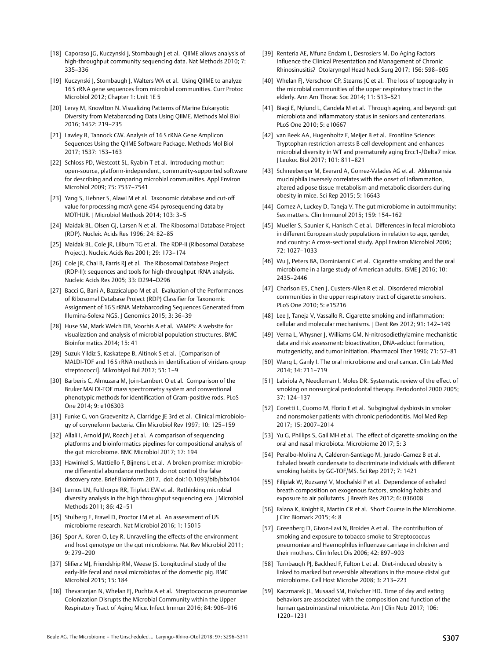- [18] Caporaso JG, Kuczynski J, Stombaugh J et al. OIIME allows analysis of high-throughput community sequencing data. Nat Methods 2010; 7: 335–336
- [19] Kuczynski J, Stombaugh J, Walters WA et al. Using QIIME to analyze 16 S rRNA gene sequences from microbial communities. Curr Protoc Microbiol 2012; Chapter 1: Unit 1E 5
- [20] Leray M, Knowlton N. Visualizing Patterns of Marine Eukaryotic Diversity from Metabarcoding Data Using QIIME. Methods Mol Biol 2016; 1452: 219–235
- [21] Lawley B, Tannock GW. Analysis of 16 S rRNA Gene Amplicon Sequences Using the QIIME Software Package. Methods Mol Biol 2017; 1537: 153–163
- [22] Schloss PD, Westcott SL, Ryabin T et al. Introducing mothur: open-source, platform-independent, community-supported software for describing and comparing microbial communities. Appl Environ Microbiol 2009; 75: 7537–7541
- [23] Yang S, Liebner S, Alawi M et al. Taxonomic database and cut-off value for processing mcrA gene 454 pyrosequencing data by MOTHUR. J Microbiol Methods 2014; 103: 3–5
- [24] Maidak BL, Olsen GJ, Larsen N et al. The Ribosomal Database Project (RDP). Nucleic Acids Res 1996; 24: 82–85
- [25] Maidak BL, Cole JR, Lilburn TG et al. The RDP-II (Ribosomal Database Project). Nucleic Acids Res 2001; 29: 173–174
- [26] Cole JR, Chai B, Farris RJ et al. The Ribosomal Database Project (RDP-II): sequences and tools for high-throughput rRNA analysis. Nucleic Acids Res 2005; 33: D294–D296
- [27] Bacci G, Bani A, Bazzicalupo M et al. Evaluation of the Performances of Ribosomal Database Project (RDP) Classifier for Taxonomic Assignment of 16 S rRNA Metabarcoding Sequences Generated from Illumina-Solexa NGS. J Genomics 2015; 3: 36–39
- [28] Huse SM, Mark Welch DB, Voorhis A et al. VAMPS: A website for visualization and analysis of microbial population structures. BMC Bioinformatics 2014; 15: 41
- [29] Suzuk Yildiz S, Kaskatepe B, Altinok S et al. [Comparison of MALDI-TOF and 16 S rRNA methods in identification of viridans group streptococci]. Mikrobiyol Bul 2017; 51: 1–9
- [30] Barberis C, Almuzara M, Join-Lambert O et al. Comparison of the Bruker MALDI-TOF mass spectrometry system and conventional phenotypic methods for identification of Gram-positive rods. PLoS One 2014; 9: e106303
- [31] Funke G, von Graevenitz A, Clarridge JE 3rd et al. Clinical microbiology of coryneform bacteria. Clin Microbiol Rev 1997; 10: 125–159
- [32] Allali I, Arnold JW, Roach J et al. A comparison of sequencing platforms and bioinformatics pipelines for compositional analysis of the gut microbiome. BMC Microbiol 2017; 17: 194
- [33] Hawinkel S, Mattiello F, Bijnens L et al. A broken promise: microbiome differential abundance methods do not control the false discovery rate. Brief Bioinform 2017, doi: doi:10.1093/bib/bbx104
- [34] Lemos LN, Fulthorpe RR, Triplett EW et al. Rethinking microbial diversity analysis in the high throughput sequencing era. J Microbiol Methods 2011; 86: 42–51
- [35] Stulberg E, Fravel D, Proctor LM et al. An assessment of US microbiome research. Nat Microbiol 2016; 1: 15015
- [36] Spor A, Koren O, Ley R. Unravelling the effects of the environment and host genotype on the gut microbiome. Nat Rev Microbiol 2011; 9: 279–290
- [37] Slifierz MJ, Friendship RM, Weese JS. Longitudinal study of the early-life fecal and nasal microbiotas of the domestic pig. BMC Microbiol 2015; 15: 184
- [38] Thevaranjan N, Whelan FJ, Puchta A et al. Streptococcus pneumoniae Colonization Disrupts the Microbial Community within the Upper Respiratory Tract of Aging Mice. Infect Immun 2016; 84: 906–916
- [39] Renteria AE, Mfuna Endam L, Desrosiers M. Do Aging Factors Influence the Clinical Presentation and Management of Chronic Rhinosinusitis? Otolaryngol Head Neck Surg 2017; 156: 598–605
- [40] Whelan FJ, Verschoor CP, Stearns JC et al. The loss of topography in the microbial communities of the upper respiratory tract in the elderly. Ann Am Thorac Soc 2014; 11: 513–521
- [41] Biagi E, Nylund L, Candela M et al. Through ageing, and beyond: gut microbiota and inflammatory status in seniors and centenarians. PLoS One 2010; 5: e10667
- [42] van Beek AA, Hugenholtz F, Meijer B et al. Frontline Science: Tryptophan restriction arrests B cell development and enhances microbial diversity in WT and prematurely aging Ercc1-/Delta7 mice. J Leukoc Biol 2017; 101: 811–821
- [43] Schneeberger M, Everard A, Gomez-Valades AG et al. Akkermansia muciniphila inversely correlates with the onset of inflammation, altered adipose tissue metabolism and metabolic disorders during obesity in mice. Sci Rep 2015; 5: 16643
- [44] Gomez A, Luckey D, Taneja V. The gut microbiome in autoimmunity: Sex matters. Clin Immunol 2015; 159: 154–162
- [45] Mueller S, Saunier K, Hanisch C et al. Differences in fecal microbiota in different European study populations in relation to age, gender, and country: A cross-sectional study. Appl Environ Microbiol 2006; 72: 1027–1033
- [46] Wu J, Peters BA, Dominianni C et al. Cigarette smoking and the oral microbiome in a large study of American adults. ISME J 2016; 10: 2435–2446
- [47] Charlson ES, Chen J, Custers-Allen R et al. Disordered microbial communities in the upper respiratory tract of cigarette smokers. PLoS One 2010; 5: e15216
- [48] Lee J, Taneja V, Vassallo R. Cigarette smoking and inflammation: cellular and molecular mechanisms. J Dent Res 2012; 91: 142–149
- [49] Verna L, Whysner J, Williams GM, N-nitrosodiethylamine mechanistic data and risk assessment: bioactivation, DNA-adduct formation, mutagenicity, and tumor initiation. Pharmacol Ther 1996; 71: 57–81
- [50] Wang L, Ganly I. The oral microbiome and oral cancer. Clin Lab Med 2014; 34: 711–719
- [51] Labriola A, Needleman I, Moles DR. Systematic review of the effect of smoking on nonsurgical periodontal therapy. Periodontol 2000 2005; 37: 124–137
- [52] Coretti L, Cuomo M, Florio E et al. Subgingival dysbiosis in smoker and nonsmoker patients with chronic periodontitis. Mol Med Rep 2017; 15: 2007–2014
- [53] Yu G, Phillips S, Gail MH et al. The effect of cigarette smoking on the oral and nasal microbiota. Microbiome 2017; 5: 3
- [54] Peralbo-Molina A, Calderon-Santiago M, Jurado-Gamez B et al. Exhaled breath condensate to discriminate individuals with different smoking habits by GC-TOF/MS. Sci Rep 2017; 7: 1421
- [55] Filipiak W, Ruzsanyi V, Mochalski P et al. Dependence of exhaled breath composition on exogenous factors, smoking habits and exposure to air pollutants. J Breath Res 2012; 6: 036008
- [56] Falana K, Knight R, Martin CR et al. Short Course in the Microbiome. J Circ Biomark 2015; 4: 8
- [57] Greenberg D, Givon-Lavi N, Broides A et al. The contribution of smoking and exposure to tobacco smoke to Streptococcus pneumoniae and Haemophilus influenzae carriage in children and their mothers. Clin Infect Dis 2006; 42: 897–903
- [58] Turnbaugh PJ, Backhed F, Fulton L et al. Diet-induced obesity is linked to marked but reversible alterations in the mouse distal gut microbiome. Cell Host Microbe 2008; 3: 213–223
- [59] Kaczmarek JL, Musaad SM, Holscher HD. Time of day and eating behaviors are associated with the composition and function of the human gastrointestinal microbiota. Am J Clin Nutr 2017; 106: 1220–1231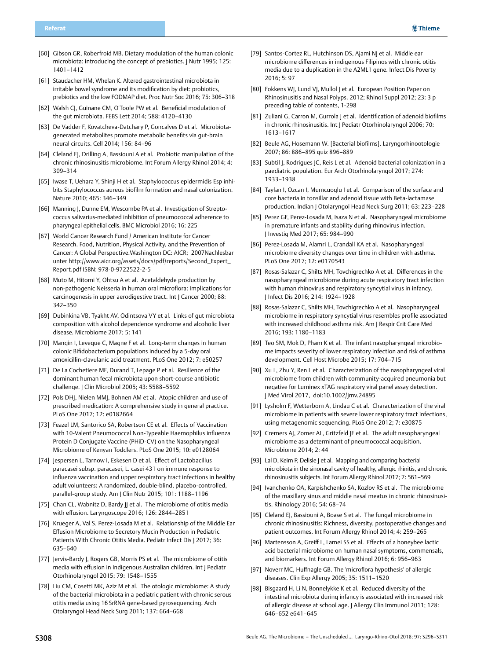- [60] Gibson GR, Roberfroid MB. Dietary modulation of the human colonic microbiota: introducing the concept of prebiotics. J Nutr 1995; 125: 1401–1412
- [61] Staudacher HM, Whelan K. Altered gastrointestinal microbiota in irritable bowel syndrome and its modification by diet: probiotics, prebiotics and the low FODMAP diet. Proc Nutr Soc 2016; 75: 306–318
- [62] Walsh CJ, Guinane CM, O'Toole PW et al. Beneficial modulation of the gut microbiota. FEBS Lett 2014; 588: 4120–4130
- [63] De Vadder F, Kovatcheva-Datchary P, Goncalves D et al. Microbiotagenerated metabolites promote metabolic benefits via gut-brain neural circuits. Cell 2014; 156: 84–96
- [64] Cleland EJ, Drilling A, Bassiouni A et al. Probiotic manipulation of the chronic rhinosinusitis microbiome. Int Forum Allergy Rhinol 2014; 4: 309–314
- [65] Iwase T, Uehara Y, Shinji H et al. Staphylococcus epidermidis Esp inhibits Staphylococcus aureus biofilm formation and nasal colonization. Nature 2010; 465: 346–349
- [66] Manning J, Dunne EM, Wescombe PA et al. Investigation of Streptococcus salivarius-mediated inhibition of pneumococcal adherence to pharyngeal epithelial cells. BMC Microbiol 2016; 16: 225
- [67] World Cancer Research Fund / American Institute for Cancer Research. Food, Nutrition, Physical Activity, and the Prevention of Cancer: A Global Perspective.Washington DC: AICR; 2007Nachlesbar unter [http://www.aicr.org/assets/docs/pdf/reports/Second\\_Expert\\_](http://www.aicr.org/assets/docs/pdf/reports/Second_Expert_Report.pdf) [Report.pdf](http://www.aicr.org/assets/docs/pdf/reports/Second_Expert_Report.pdf) ISBN: 978-0-9722522-2-5
- [68] Muto M, Hitomi Y, Ohtsu A et al. Acetaldehyde production by non-pathogenic Neisseria in human oral microflora: Implications for carcinogenesis in upper aerodigestive tract. Int | Cancer 2000; 88: 342–350
- [69] Dubinkina VB, Tyakht AV, Odintsova VY et al. Links of gut microbiota composition with alcohol dependence syndrome and alcoholic liver disease. Microbiome 2017; 5: 141
- [70] Mangin I, Leveque C, Magne F et al. Long-term changes in human colonic Bifidobacterium populations induced by a 5-day oral amoxicillin-clavulanic acid treatment. PLoS One 2012; 7: e50257
- [71] De La Cochetiere MF, Durand T, Lepage P et al. Resilience of the dominant human fecal microbiota upon short-course antibiotic challenge. J Clin Microbiol 2005; 43: 5588–5592
- [72] Pols DHJ, Nielen MMJ, Bohnen AM et al. Atopic children and use of prescribed medication: A comprehensive study in general practice. PLoS One 2017; 12: e0182664
- [73] Feazel LM, Santorico SA, Robertson CE et al. Effects of Vaccination with 10-Valent Pneumococcal Non-Typeable Haemophilus influenza Protein D Conjugate Vaccine (PHiD-CV) on the Nasopharyngeal Microbiome of Kenyan Toddlers. PLoS One 2015; 10: e0128064
- [74] Jespersen L, Tarnow I, Eskesen D et al. Effect of Lactobacillus paracasei subsp. paracasei, L. casei 431 on immune response to influenza vaccination and upper respiratory tract infections in healthy adult volunteers: A randomized, double-blind, placebo-controlled, parallel-group study. Am J Clin Nutr 2015; 101: 1188–1196
- [75] Chan CL, Wabnitz D, Bardy JJ et al. The microbiome of otitis media with effusion. Laryngoscope 2016; 126: 2844–2851
- [76] Krueger A, Val S, Perez-Losada M et al. Relationship of the Middle Ear Effusion Microbiome to Secretory Mucin Production in Pediatric Patients With Chronic Otitis Media. Pediatr Infect Dis J 2017; 36: 635–640
- [77] Jervis-Bardy J, Rogers GB, Morris PS et al. The microbiome of otitis media with effusion in Indigenous Australian children. Int J Pediatr Otorhinolaryngol 2015; 79: 1548–1555
- [78] Liu CM, Cosetti MK, Aziz M et al. The otologic microbiome: A study of the bacterial microbiota in a pediatric patient with chronic serous otitis media using 16 SrRNA gene-based pyrosequencing. Arch Otolaryngol Head Neck Surg 2011; 137: 664–668
- [79] Santos-Cortez RL, Hutchinson DS, Ajami NJ et al. Middle ear microbiome differences in indigenous Filipinos with chronic otitis media due to a duplication in the A2ML1 gene. Infect Dis Poverty 2016; 5: 97
- [80] Fokkens WJ, Lund VJ, Mullol J et al. European Position Paper on Rhinosinusitis and Nasal Polyps. 2012; Rhinol Suppl 2012; 23: 3 p preceding table of contents, 1-298
- [81] Zuliani G, Carron M, Gurrola J et al. Identification of adenoid biofilms in chronic rhinosinusitis. Int | Pediatr Otorhinolaryngol 2006; 70: 1613–1617
- [82] Beule AG, Hosemann W. [Bacterial biofilms]. Laryngorhinootologie 2007; 86: 886–895 quiz 896–889
- [83] Subtil J, Rodrigues JC, Reis L et al. Adenoid bacterial colonization in a paediatric population. Eur Arch Otorhinolaryngol 2017; 274: 1933–1938
- [84] Taylan I, Ozcan I, Mumcuoglu I et al. Comparison of the surface and core bacteria in tonsillar and adenoid tissue with Beta-lactamase production. Indian J Otolaryngol Head Neck Surg 2011; 63: 223–228
- [85] Perez GF, Perez-Losada M, Isaza N et al. Nasopharyngeal microbiome in premature infants and stability during rhinovirus infection. J Investig Med 2017; 65: 984–990
- [86] Perez-Losada M, Alamri L, Crandall KA et al. Nasopharyngeal microbiome diversity changes over time in children with asthma. PLoS One 2017; 12: e0170543
- [87] Rosas-Salazar C, Shilts MH, Tovchigrechko A et al. Differences in the nasopharyngeal microbiome during acute respiratory tract infection with human rhinovirus and respiratory syncytial virus in infancy. J Infect Dis 2016; 214: 1924–1928
- [88] Rosas-Salazar C, Shilts MH, Tovchigrechko A et al. Nasopharyngeal microbiome in respiratory syncytial virus resembles profile associated with increased childhood asthma risk. Am J Respir Crit Care Med 2016; 193: 1180–1183
- [89] Teo SM, Mok D, Pham K et al. The infant nasopharyngeal microbiome impacts severity of lower respiratory infection and risk of asthma development. Cell Host Microbe 2015; 17: 704–715
- [90] Xu L, Zhu Y, Ren L et al. Characterization of the nasopharyngeal viral microbiome from children with community-acquired pneumonia but negative for Luminex xTAG respiratory viral panel assay detection. J Med Virol 2017, doi:10.1002/jmv.24895
- [91] Lysholm F, Wetterbom A, Lindau C et al. Characterization of the viral microbiome in patients with severe lower respiratory tract infections, using metagenomic sequencing. PLoS One 2012; 7: e30875
- [92] Cremers AJ, Zomer AL, Gritzfeld JF et al. The adult nasopharyngeal microbiome as a determinant of pneumococcal acquisition. Microbiome 2014; 2: 44
- [93] Lal D, Keim P, Delisle J et al. Mapping and comparing bacterial microbiota in the sinonasal cavity of healthy, allergic rhinitis, and chronic rhinosinusitis subjects. Int Forum Allergy Rhinol 2017; 7: 561–569
- [94] Ivanchenko OA, Karpishchenko SA, Kozlov RS et al. The microbiome of the maxillary sinus and middle nasal meatus in chronic rhinosinusitis. Rhinology 2016; 54: 68–74
- [95] Cleland EJ, Bassiouni A, Boase S et al. The fungal microbiome in chronic rhinosinusitis: Richness, diversity, postoperative changes and patient outcomes. Int Forum Allergy Rhinol 2014; 4: 259–265
- [96] Martensson A, Greiff L, Lamei SS et al. Effects of a honeybee lactic acid bacterial microbiome on human nasal symptoms, commensals, and biomarkers. Int Forum Allergy Rhinol 2016; 6: 956–963
- [97] Noverr MC, Huffnagle GB. The 'microflora hypothesis' of allergic diseases. Clin Exp Allergy 2005; 35: 1511–1520
- [98] Bisgaard H, Li N, Bonnelykke K et al. Reduced diversity of the intestinal microbiota during infancy is associated with increased risk of allergic disease at school age. J Allergy Clin Immunol 2011; 128: 646–652 e641–645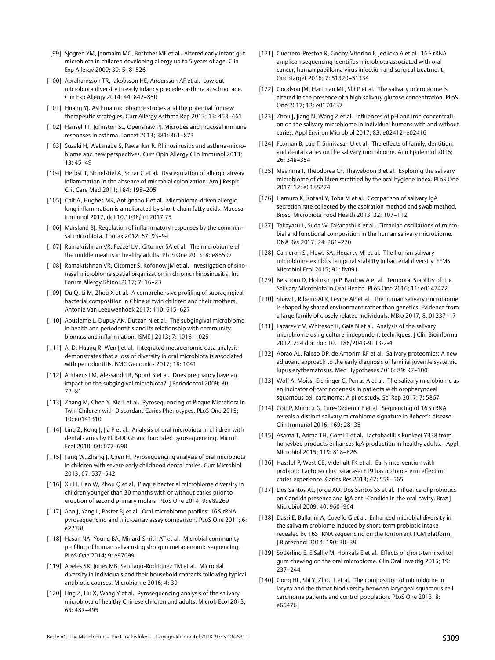- [99] Sjogren YM, Jenmalm MC, Bottcher MF et al. Altered early infant gut microbiota in children developing allergy up to 5 years of age. Clin Exp Allergy 2009; 39: 518–526
- [100] Abrahamsson TR, Jakobsson HE, Andersson AF et al. Low gut microbiota diversity in early infancy precedes asthma at school age. Clin Exp Allergy 2014; 44: 842–850
- [101] Huang YJ. Asthma microbiome studies and the potential for new therapeutic strategies. Curr Allergy Asthma Rep 2013; 13: 453–461
- [102] Hansel TT, Johnston SL, Openshaw PJ. Microbes and mucosal immune responses in asthma. Lancet 2013; 381: 861–873
- [103] Suzaki H, Watanabe S, Pawankar R. Rhinosinusitis and asthma-microbiome and new perspectives. Curr Opin Allergy Clin Immunol 2013; 13: 45–49
- [104] Herbst T, Sichelstiel A, Schar C et al. Dysregulation of allergic airway inflammation in the absence of microbial colonization. Am J Respir Crit Care Med 2011; 184: 198–205
- [105] Cait A, Hughes MR, Antignano F et al. Microbiome-driven allergic lung inflammation is ameliorated by short-chain fatty acids. Mucosal Immunol 2017, doi:10.1038/mi.2017.75
- [106] Marsland BJ. Regulation of inflammatory responses by the commensal microbiota. Thorax 2012; 67: 93–94
- [107] Ramakrishnan VR, Feazel LM, Gitomer SA et al. The microbiome of the middle meatus in healthy adults. PLoS One 2013; 8: e85507
- [108] Ramakrishnan VR, Gitomer S, Kofonow JM et al. Investigation of sinonasal microbiome spatial organization in chronic rhinosinusitis. Int Forum Allergy Rhinol 2017; 7: 16–23
- [109] Du Q, Li M, Zhou X et al. A comprehensive profiling of supragingival bacterial composition in Chinese twin children and their mothers. Antonie Van Leeuwenhoek 2017; 110: 615–627
- [110] Abusleme L, Dupuy AK, Dutzan N et al. The subgingival microbiome in health and periodontitis and its relationship with community biomass and inflammation. ISME J 2013; 7: 1016–1025
- [111] Ai D, Huang R, Wen J et al. Integrated metagenomic data analysis demonstrates that a loss of diversity in oral microbiota is associated with periodontitis. BMC Genomics 2017; 18: 1041
- [112] Adriaens LM, Alessandri R, Sporri S et al. Does pregnancy have an impact on the subgingival microbiota? J Periodontol 2009; 80: 72–81
- [113] Zhang M, Chen Y, Xie L et al. Pyrosequencing of Plaque Microflora In Twin Children with Discordant Caries Phenotypes. PLoS One 2015; 10: e0141310
- [114] Ling Z, Kong J, Jia P et al. Analysis of oral microbiota in children with dental caries by PCR-DGGE and barcoded pyrosequencing. Microb Ecol 2010; 60: 677–690
- [115] Jiang W, Zhang J, Chen H. Pyrosequencing analysis of oral microbiota in children with severe early childhood dental caries. Curr Microbiol 2013; 67: 537–542
- [116] Xu H, Hao W, Zhou Q et al. Plaque bacterial microbiome diversity in children younger than 30 months with or without caries prior to eruption of second primary molars. PLoS One 2014; 9: e89269
- [117] Ahn J, Yang L, Paster BJ et al. Oral microbiome profiles: 16 S rRNA pyrosequencing and microarray assay comparison. PLoS One 2011; 6: e22788
- [118] Hasan NA, Young BA, Minard-Smith AT et al. Microbial community profiling of human saliva using shotgun metagenomic sequencing. PLoS One 2014; 9: e97699
- [119] Abeles SR, Jones MB, Santiago-Rodriguez TM et al. Microbial diversity in individuals and their household contacts following typical antibiotic courses. Microbiome 2016; 4: 39
- [120] Ling Z, Liu X, Wang Y et al. Pyrosequencing analysis of the salivary microbiota of healthy Chinese children and adults. Microb Ecol 2013; 65: 487–495
- [121] Guerrero-Preston R, Godoy-Vitorino F, Jedlicka A et al. 16S rRNA amplicon sequencing identifies microbiota associated with oral cancer, human papilloma virus infection and surgical treatment. Oncotarget 2016; 7: 51320–51334
- [122] Goodson JM, Hartman ML, Shi P et al. The salivary microbiome is altered in the presence of a high salivary glucose concentration. PLoS One 2017; 12: e0170437
- [123] Zhou J, Jiang N, Wang Z et al. Influences of pH and iron concentration on the salivary microbiome in individual humans with and without caries. Appl Environ Microbiol 2017; 83: e02412–e02416
- [124] Foxman B, Luo T, Srinivasan U et al. The effects of family, dentition, and dental caries on the salivary microbiome. Ann Epidemiol 2016; 26: 348–354
- [125] Mashima I, Theodorea CF, Thaweboon B et al. Exploring the salivary microbiome of children stratified by the oral hygiene index. PLoS One 2017; 12: e0185274
- [126] Hamuro K, Kotani Y, Toba M et al. Comparison of salivary IqA secretion rate collected by the aspiration method and swab method. Biosci Microbiota Food Health 2013; 32: 107–112
- [127] Takayasu L, Suda W, Takanashi K et al. Circadian oscillations of microbial and functional composition in the human salivary microbiome. DNA Res 2017; 24: 261–270
- [128] Cameron SJ, Huws SA, Hegarty MJ et al. The human salivary microbiome exhibits temporal stability in bacterial diversity. FEMS Microbiol Ecol 2015; 91: fiv091
- [129] Belstrom D, Holmstrup P, Bardow A et al. Temporal Stability of the Salivary Microbiota in Oral Health. PLoS One 2016; 11: e0147472
- [130] Shaw L, Ribeiro ALR, Levine AP et al. The human salivary microbiome is shaped by shared environment rather than genetics: Evidence from a large family of closely related individuals. MBio 2017; 8: 01237–17
- [131] Lazarevic V, Whiteson K, Gaia N et al. Analysis of the salivary microbiome using culture-independent techniques. J Clin Bioinforma 2012; 2: 4 doi: doi: 10.1186/2043-9113-2-4
- [132] Abrao AL, Falcao DP, de Amorim RF et al. Salivary proteomics: A new adjuvant approach to the early diagnosis of familial juvenile systemic lupus erythematosus. Med Hypotheses 2016; 89: 97–100
- [133] Wolf A, Moissl-Eichinger C, Perras A et al. The salivary microbiome as an indicator of carcinogenesis in patients with oropharyngeal squamous cell carcinoma: A pilot study. Sci Rep 2017; 7: 5867
- [134] Coit P, Mumcu G, Ture-Ozdemir F et al. Sequencing of 16S rRNA reveals a distinct salivary microbiome signature in Behcet's disease. Clin Immunol 2016; 169: 28–35
- [135] Asama T, Arima TH, Gomi T et al. Lactobacillus kunkeei YB38 from honeybee products enhances IgA production in healthy adults. J Appl Microbiol 2015; 119: 818–826
- [136] Hasslof P, West CE, Videhult FK et al. Early intervention with probiotic Lactobacillus paracasei F19 has no long-term effect on caries experience. Caries Res 2013; 47: 559–565
- [137] Dos Santos AL, Jorge AO, Dos Santos SS et al. Influence of probiotics on Candida presence and IgA anti-Candida in the oral cavity. Braz J Microbiol 2009; 40: 960–964
- [138] Dassi E, Ballarini A, Covello G et al. Enhanced microbial diversity in the saliva microbiome induced by short-term probiotic intake revealed by 16S rRNA sequencing on the IonTorrent PGM platform. J Biotechnol 2014; 190: 30–39
- [139] Soderling E, ElSalhy M, Honkala E et al. Effects of short-term xylitol gum chewing on the oral microbiome. Clin Oral Investig 2015; 19: 237–244
- [140] Gong HL, Shi Y, Zhou L et al. The composition of microbiome in larynx and the throat biodiversity between laryngeal squamous cell carcinoma patients and control population. PLoS One 2013; 8: e66476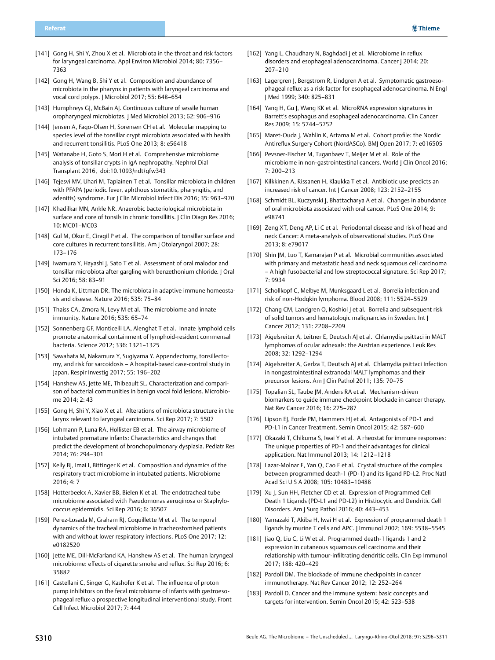- [141] Gong H, Shi Y, Zhou X et al. Microbiota in the throat and risk factors for laryngeal carcinoma. Appl Environ Microbiol 2014; 80: 7356– 7363
- [142] Gong H, Wang B, Shi Y et al. Composition and abundance of microbiota in the pharynx in patients with laryngeal carcinoma and vocal cord polyps. J Microbiol 2017; 55: 648–654
- [143] Humphreys GJ, McBain AJ. Continuous culture of sessile human oropharyngeal microbiotas. J Med Microbiol 2013; 62: 906–916
- [144] Jensen A, Fago-Olsen H, Sorensen CH et al. Molecular mapping to species level of the tonsillar crypt microbiota associated with health and recurrent tonsillitis. PLoS One 2013; 8: e56418
- [145] Watanabe H, Goto S, Mori H et al. Comprehensive microbiome analysis of tonsillar crypts in IgA nephropathy. Nephrol Dial Transplant 2016, doi:10.1093/ndt/gfw343
- [146] Tejesvi MV, Uhari M, Tapiainen T et al. Tonsillar microbiota in children with PFAPA (periodic fever, aphthous stomatitis, pharyngitis, and adenitis) syndrome. Eur J Clin Microbiol Infect Dis 2016; 35: 963–970
- [147] Khadilkar MN, Ankle NR. Anaerobic bacteriological microbiota in surface and core of tonsils in chronic tonsillitis. | Clin Diagn Res 2016; 10: MC01–MC03
- [148] Gul M, Okur E, Ciragil P et al. The comparison of tonsillar surface and core cultures in recurrent tonsillitis. Am J Otolaryngol 2007; 28: 173–176
- [149] Iwamura Y, Hayashi J, Sato T et al. Assessment of oral malodor and tonsillar microbiota after gargling with benzethonium chloride. J Oral Sci 2016; 58: 83–91
- [150] Honda K, Littman DR. The microbiota in adaptive immune homeostasis and disease. Nature 2016; 535: 75–84
- [151] Thaiss CA, Zmora N, Levy M et al. The microbiome and innate immunity. Nature 2016; 535: 65–74
- [152] Sonnenberg GF, Monticelli LA, Alenghat T et al. Innate lymphoid cells promote anatomical containment of lymphoid-resident commensal bacteria. Science 2012; 336: 1321–1325
- [153] Sawahata M, Nakamura Y, Sugiyama Y. Appendectomy, tonsillectomy, and risk for sarcoidosis – A hospital-based case-control study in Japan. Respir Investig 2017; 55: 196–202
- [154] Hanshew AS, Jette ME, Thibeault SL. Characterization and comparison of bacterial communities in benign vocal fold lesions. Microbiome 2014; 2: 43
- [155] Gong H, Shi Y, Xiao X et al. Alterations of microbiota structure in the larynx relevant to laryngeal carcinoma. Sci Rep 2017; 7: 5507
- [156] Lohmann P, Luna RA, Hollister EB et al. The airway microbiome of intubated premature infants: Characteristics and changes that predict the development of bronchopulmonary dysplasia. Pediatr Res 2014; 76: 294–301
- [157] Kelly BJ, Imai I, Bittinger K et al. Composition and dynamics of the respiratory tract microbiome in intubated patients. Microbiome 2016; 4: 7
- [158] Hotterbeekx A, Xavier BB, Bielen K et al. The endotracheal tube microbiome associated with Pseudomonas aeruginosa or Staphylococcus epidermidis. Sci Rep 2016; 6: 36507
- [159] Perez-Losada M, Graham RJ, Coquillette M et al. The temporal dynamics of the tracheal microbiome in tracheostomised patients with and without lower respiratory infections. PLoS One 2017; 12: e0182520
- [160] Jette ME, Dill-McFarland KA, Hanshew AS et al. The human laryngeal microbiome: effects of cigarette smoke and reflux. Sci Rep 2016; 6: 35882
- [161] Castellani C, Singer G, Kashofer K et al. The influence of proton pump inhibitors on the fecal microbiome of infants with gastroesophageal reflux-a prospective longitudinal interventional study. Front Cell Infect Microbiol 2017; 7: 444
- [162] Yang L, Chaudhary N, Baghdadi | et al. Microbiome in reflux disorders and esophageal adenocarcinoma. Cancer | 2014; 20: 207–210
- [163] Lagergren J, Bergstrom R, Lindgren A et al. Symptomatic gastroesophageal reflux as a risk factor for esophageal adenocarcinoma. N Engl J Med 1999; 340: 825–831
- [164] Yang H, Gu J, Wang KK et al. MicroRNA expression signatures in Barrett's esophagus and esophageal adenocarcinoma. Clin Cancer Res 2009; 15: 5744–5752
- [165] Maret-Ouda J, Wahlin K, Artama M et al. Cohort profile: the Nordic Antireflux Surgery Cohort (NordASCo). BMJ Open 2017; 7: e016505
- [166] Pevsner-Fischer M, Tuganbaev T, Meijer M et al. Role of the microbiome in non-gastrointestinal cancers. World J Clin Oncol 2016; 7: 200–213
- [167] Kilkkinen A, Rissanen H, Klaukka T et al. Antibiotic use predicts an increased risk of cancer. Int J Cancer 2008; 123: 2152–2155
- [168] Schmidt BL, Kuczynski J, Bhattacharya A et al. Changes in abundance of oral microbiota associated with oral cancer. PLoS One 2014; 9: e98741
- [169] Zeng XT, Deng AP, Li C et al. Periodontal disease and risk of head and neck Cancer: A meta-analysis of observational studies. PLoS One 2013; 8: e79017
- [170] Shin JM, Luo T, Kamarajan P et al. Microbial communities associated with primary and metastatic head and neck squamous cell carcinoma – A high fusobacterial and low streptococcal signature. Sci Rep 2017; 7: 9934
- [171] Schollkopf C, Melbye M, Munksgaard L et al. Borrelia infection and risk of non-Hodgkin lymphoma. Blood 2008; 111: 5524–5529
- [172] Chang CM, Landgren O, Koshiol J et al. Borrelia and subsequent risk of solid tumors and hematologic malignancies in Sweden. Int J Cancer 2012; 131: 2208–2209
- [173] Aigelsreiter A, Leitner E, Deutsch AJ et al. Chlamydia psittaci in MALT lymphomas of ocular adnexals: the Austrian experience. Leuk Res 2008; 32: 1292–1294
- [174] Aigelsreiter A, Gerlza T, Deutsch AJ et al. Chlamydia psittaci Infection in nongastrointestinal extranodal MALT lymphomas and their precursor lesions. Am J Clin Pathol 2011; 135: 70–75
- [175] Topalian SL, Taube JM, Anders RA et al. Mechanism-driven biomarkers to guide immune checkpoint blockade in cancer therapy. Nat Rev Cancer 2016; 16: 275–287
- [176] Lipson EJ, Forde PM, Hammers HJ et al. Antagonists of PD-1 and PD-L1 in Cancer Treatment. Semin Oncol 2015; 42: 587–600
- [177] Okazaki T, Chikuma S, Iwai Y et al. A rheostat for immune responses: The unique properties of PD-1 and their advantages for clinical application. Nat Immunol 2013; 14: 1212–1218
- [178] Lazar-Molnar E, Yan Q, Cao E et al. Crystal structure of the complex between programmed death-1 (PD-1) and its ligand PD-L2. Proc Natl Acad Sci U S A 2008; 105: 10483–10488
- [179] Xu J, Sun HH, Fletcher CD et al. Expression of Programmed Cell Death 1 Ligands (PD-L1 and PD-L2) in Histiocytic and Dendritic Cell Disorders. Am J Surg Pathol 2016; 40: 443–453
- [180] Yamazaki T, Akiba H, Iwai H et al. Expression of programmed death 1 ligands by murine T cells and APC. | Immunol 2002; 169: 5538-5545
- [181] Jiao Q, Liu C, Li W et al. Programmed death-1 ligands 1 and 2 expression in cutaneous squamous cell carcinoma and their relationship with tumour-infiltrating dendritic cells. Clin Exp Immunol 2017; 188: 420–429
- [182] Pardoll DM. The blockade of immune checkpoints in cancer immunotherapy. Nat Rev Cancer 2012; 12: 252–264
- [183] Pardoll D. Cancer and the immune system: basic concepts and targets for intervention. Semin Oncol 2015; 42: 523–538